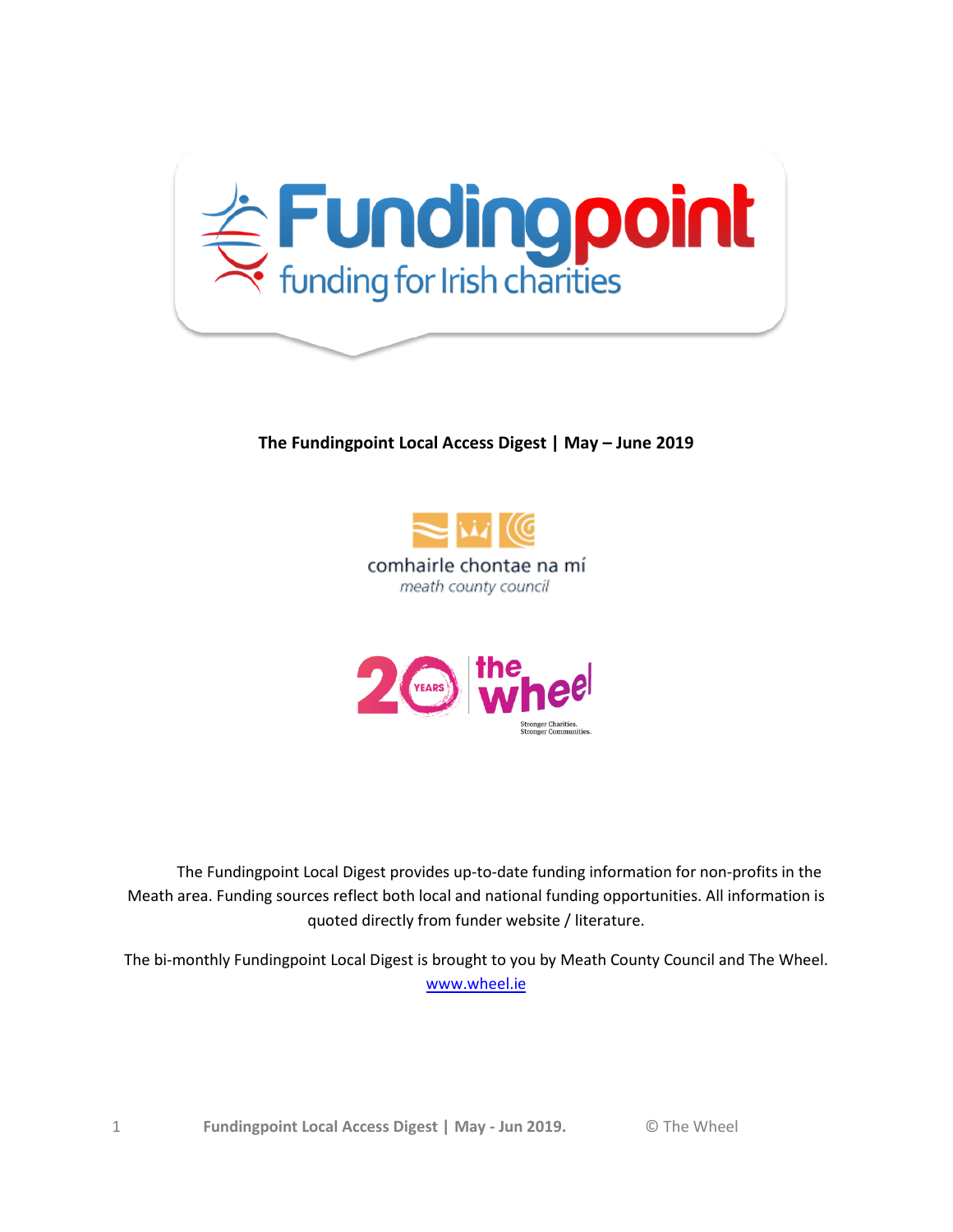

#### **The Fundingpoint Local Access Digest | May – June 2019**





 The Fundingpoint Local Digest provides up-to-date funding information for non-profits in the Meath area. Funding sources reflect both local and national funding opportunities. All information is quoted directly from funder website / literature.

The bi-monthly Fundingpoint Local Digest is brought to you by Meath County Council and The Wheel. [www.wheel.ie](http://www.wheel.ie/)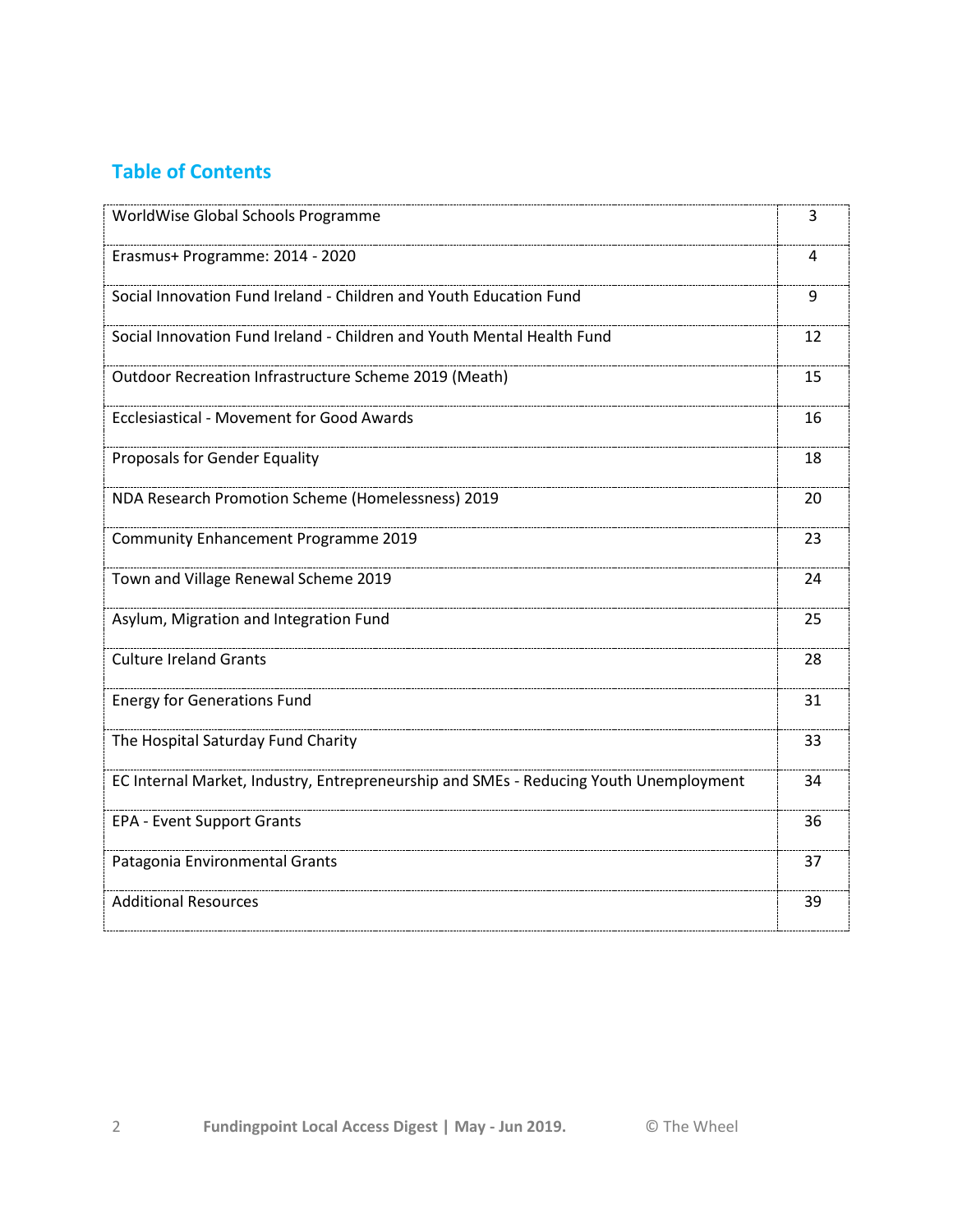## **Table of Contents**

| WorldWise Global Schools Programme                                                    | 3  |
|---------------------------------------------------------------------------------------|----|
| Erasmus+ Programme: 2014 - 2020                                                       | 4  |
| Social Innovation Fund Ireland - Children and Youth Education Fund                    | 9  |
| Social Innovation Fund Ireland - Children and Youth Mental Health Fund                | 12 |
| Outdoor Recreation Infrastructure Scheme 2019 (Meath)                                 | 15 |
| <b>Ecclesiastical - Movement for Good Awards</b>                                      | 16 |
| Proposals for Gender Equality                                                         | 18 |
| NDA Research Promotion Scheme (Homelessness) 2019                                     | 20 |
| <b>Community Enhancement Programme 2019</b>                                           | 23 |
| Town and Village Renewal Scheme 2019                                                  | 24 |
| Asylum, Migration and Integration Fund                                                | 25 |
| <b>Culture Ireland Grants</b>                                                         | 28 |
| <b>Energy for Generations Fund</b>                                                    | 31 |
| The Hospital Saturday Fund Charity                                                    | 33 |
| EC Internal Market, Industry, Entrepreneurship and SMEs - Reducing Youth Unemployment | 34 |
| <b>EPA - Event Support Grants</b>                                                     | 36 |
| Patagonia Environmental Grants                                                        | 37 |
| <b>Additional Resources</b>                                                           | 39 |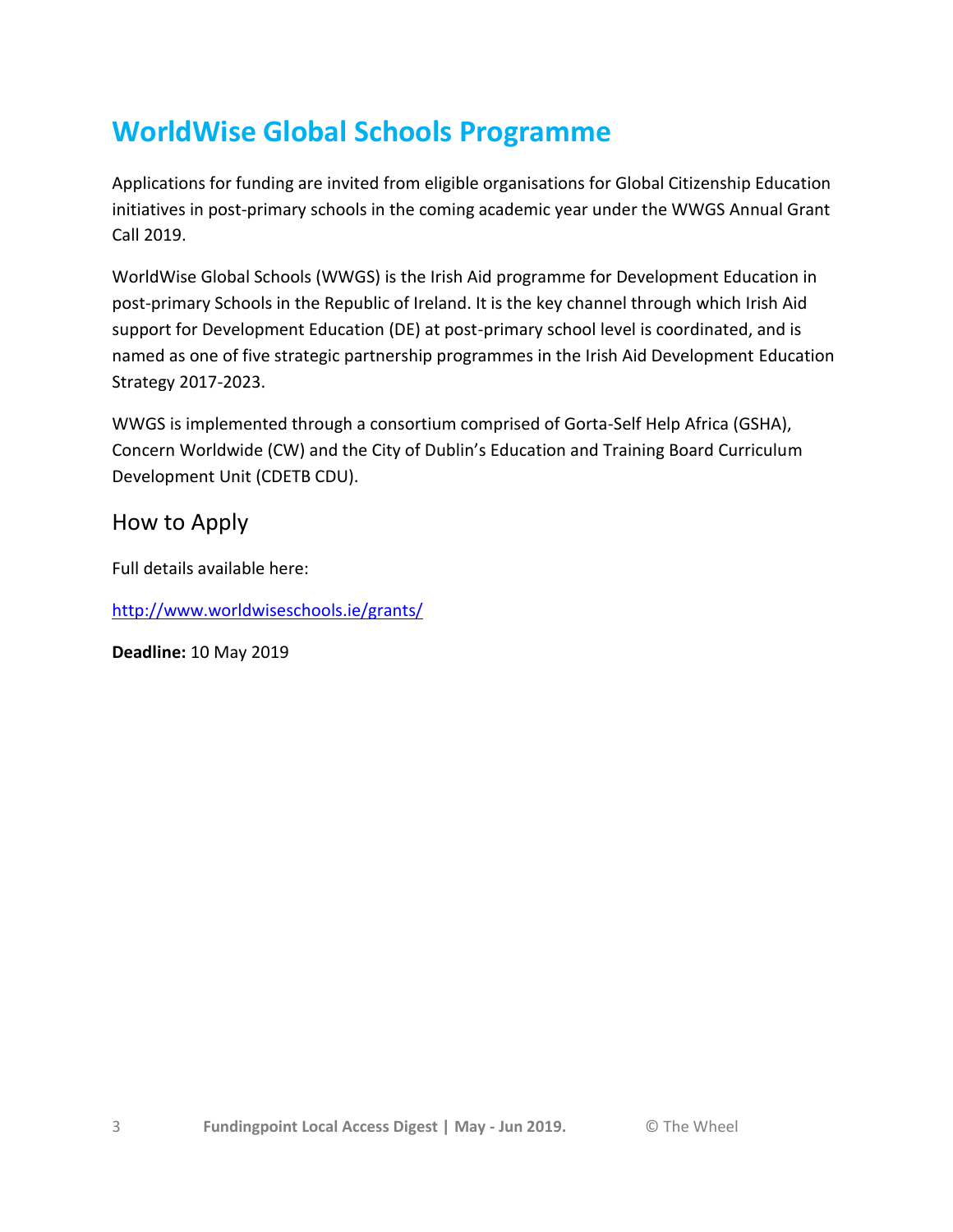# **WorldWise Global Schools Programme**

Applications for funding are invited from eligible organisations for Global Citizenship Education initiatives in post-primary schools in the coming academic year under the WWGS Annual Grant Call 2019.

WorldWise Global Schools (WWGS) is the Irish Aid programme for Development Education in post-primary Schools in the Republic of Ireland. It is the key channel through which Irish Aid support for Development Education (DE) at post-primary school level is coordinated, and is named as one of five strategic partnership programmes in the Irish Aid Development Education Strategy 2017-2023.

WWGS is implemented through a consortium comprised of Gorta-Self Help Africa (GSHA), Concern Worldwide (CW) and the City of Dublin's Education and Training Board Curriculum Development Unit (CDETB CDU).

## How to Apply

Full details available here:

<http://www.worldwiseschools.ie/grants/>

**Deadline:** 10 May 2019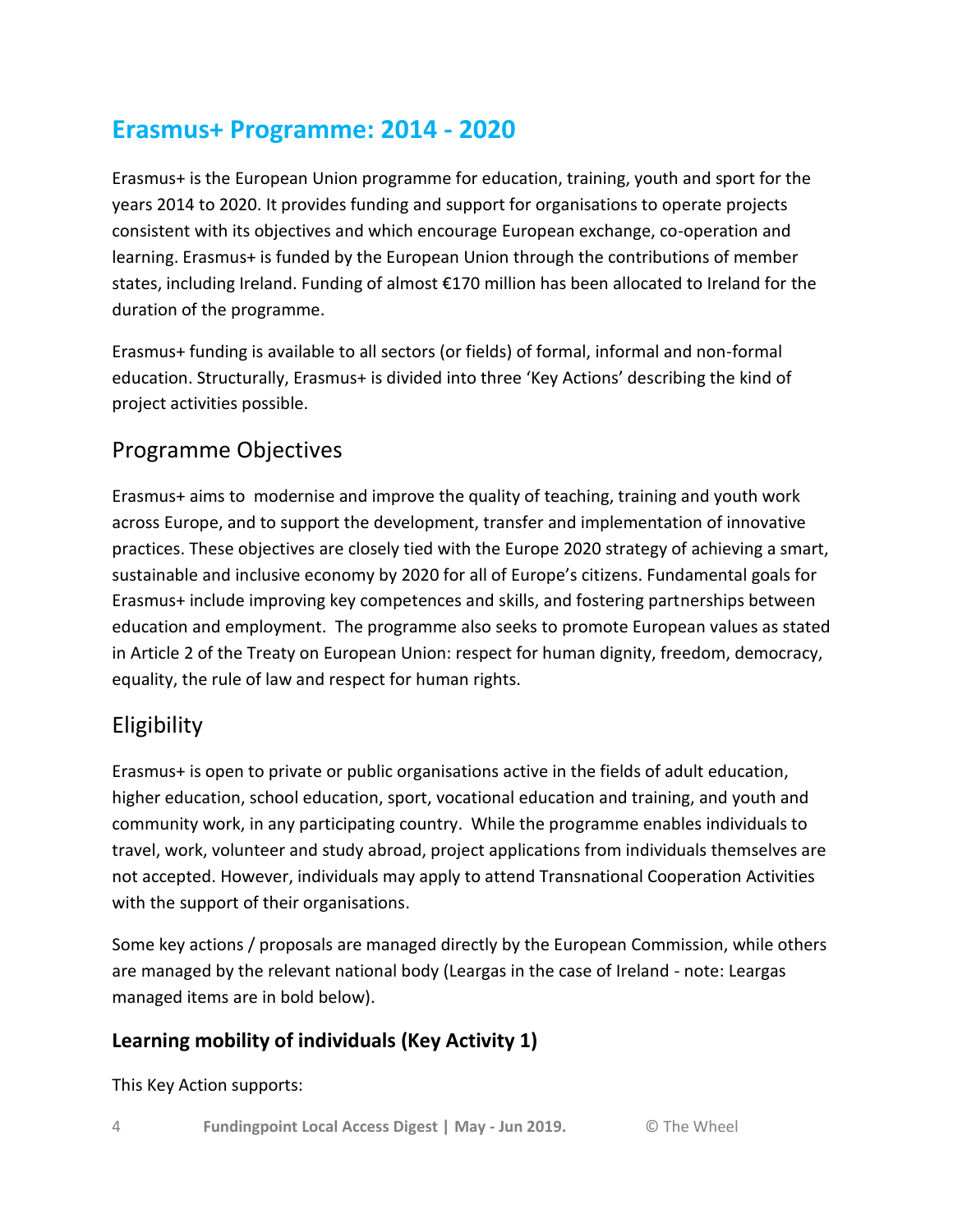# **Erasmus+ Programme: 2014 - 2020**

Erasmus+ is the European Union programme for education, training, youth and sport for the years 2014 to 2020. It provides funding and support for organisations to operate projects consistent with its objectives and which encourage European exchange, co-operation and learning. Erasmus+ is funded by the European Union through the contributions of member states, including Ireland. Funding of almost €170 million has been allocated to Ireland for the duration of the programme.

Erasmus+ funding is available to all sectors (or fields) of formal, informal and non-formal education. Structurally, Erasmus+ is divided into three 'Key Actions' describing the kind of project activities possible.

## Programme Objectives

Erasmus+ aims to modernise and improve the quality of teaching, training and youth work across Europe, and to support the development, transfer and implementation of innovative practices. These objectives are closely tied with the Europe 2020 strategy of achieving a smart, sustainable and inclusive economy by 2020 for all of Europe's citizens. Fundamental goals for Erasmus+ include improving key competences and skills, and fostering partnerships between education and employment. The programme also seeks to promote European values as stated in Article 2 of the Treaty on European Union: respect for human dignity, freedom, democracy, equality, the rule of law and respect for human rights.

## Eligibility

Erasmus+ is open to private or public organisations active in the fields of adult education, higher education, school education, sport, vocational education and training, and youth and community work, in any participating country. While the programme enables individuals to travel, work, volunteer and study abroad, project applications from individuals themselves are not accepted. However, individuals may apply to attend Transnational Cooperation Activities with the support of their organisations.

Some key actions / proposals are managed directly by the European Commission, while others are managed by the relevant national body (Leargas in the case of Ireland - note: Leargas managed items are in bold below).

## **Learning mobility of individuals (Key Activity 1)**

This Key Action supports: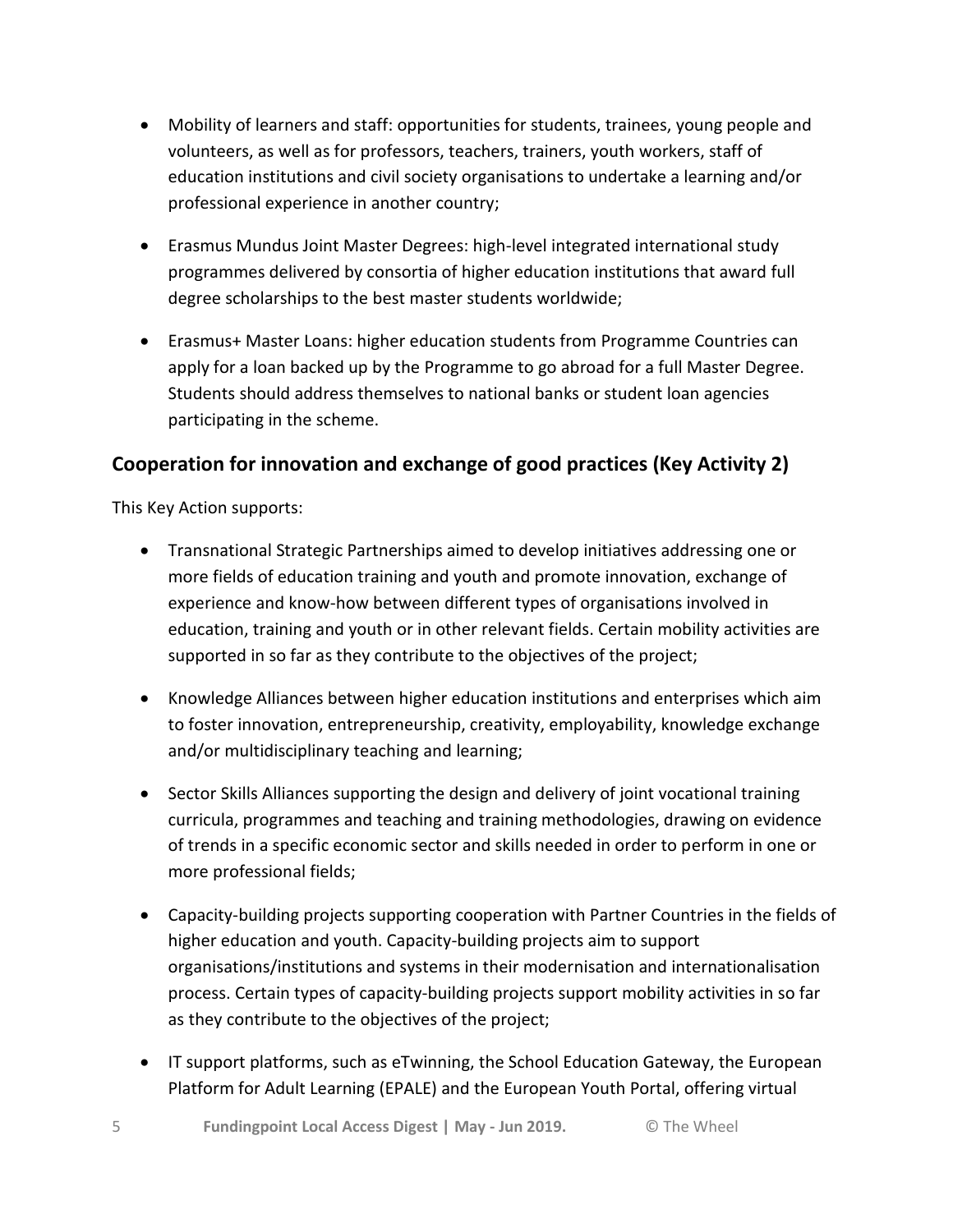- Mobility of learners and staff: opportunities for students, trainees, young people and volunteers, as well as for professors, teachers, trainers, youth workers, staff of education institutions and civil society organisations to undertake a learning and/or professional experience in another country;
- Erasmus Mundus Joint Master Degrees: high-level integrated international study programmes delivered by consortia of higher education institutions that award full degree scholarships to the best master students worldwide;
- Erasmus+ Master Loans: higher education students from Programme Countries can apply for a loan backed up by the Programme to go abroad for a full Master Degree. Students should address themselves to national banks or student loan agencies participating in the scheme.

## **Cooperation for innovation and exchange of good practices (Key Activity 2)**

This Key Action supports:

- Transnational Strategic Partnerships aimed to develop initiatives addressing one or more fields of education training and youth and promote innovation, exchange of experience and know-how between different types of organisations involved in education, training and youth or in other relevant fields. Certain mobility activities are supported in so far as they contribute to the objectives of the project;
- Knowledge Alliances between higher education institutions and enterprises which aim to foster innovation, entrepreneurship, creativity, employability, knowledge exchange and/or multidisciplinary teaching and learning;
- Sector Skills Alliances supporting the design and delivery of joint vocational training curricula, programmes and teaching and training methodologies, drawing on evidence of trends in a specific economic sector and skills needed in order to perform in one or more professional fields;
- Capacity-building projects supporting cooperation with Partner Countries in the fields of higher education and youth. Capacity-building projects aim to support organisations/institutions and systems in their modernisation and internationalisation process. Certain types of capacity-building projects support mobility activities in so far as they contribute to the objectives of the project;
- IT support platforms, such as eTwinning, the School Education Gateway, the European Platform for Adult Learning (EPALE) and the European Youth Portal, offering virtual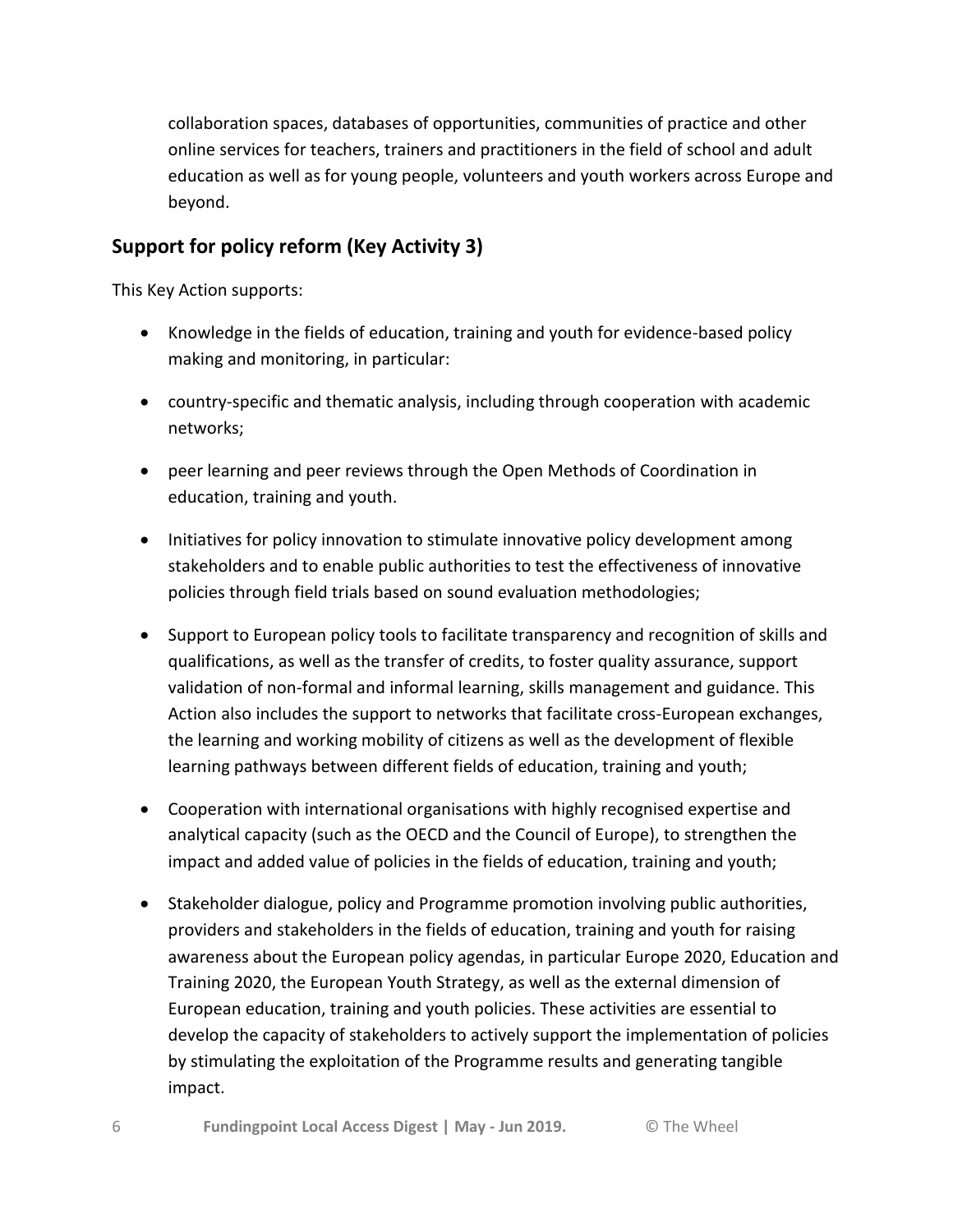collaboration spaces, databases of opportunities, communities of practice and other online services for teachers, trainers and practitioners in the field of school and adult education as well as for young people, volunteers and youth workers across Europe and beyond.

## **Support for policy reform (Key Activity 3)**

This Key Action supports:

- Knowledge in the fields of education, training and youth for evidence-based policy making and monitoring, in particular:
- country-specific and thematic analysis, including through cooperation with academic networks;
- peer learning and peer reviews through the Open Methods of Coordination in education, training and youth.
- Initiatives for policy innovation to stimulate innovative policy development among stakeholders and to enable public authorities to test the effectiveness of innovative policies through field trials based on sound evaluation methodologies;
- Support to European policy tools to facilitate transparency and recognition of skills and qualifications, as well as the transfer of credits, to foster quality assurance, support validation of non-formal and informal learning, skills management and guidance. This Action also includes the support to networks that facilitate cross-European exchanges, the learning and working mobility of citizens as well as the development of flexible learning pathways between different fields of education, training and youth;
- Cooperation with international organisations with highly recognised expertise and analytical capacity (such as the OECD and the Council of Europe), to strengthen the impact and added value of policies in the fields of education, training and youth;
- Stakeholder dialogue, policy and Programme promotion involving public authorities, providers and stakeholders in the fields of education, training and youth for raising awareness about the European policy agendas, in particular Europe 2020, Education and Training 2020, the European Youth Strategy, as well as the external dimension of European education, training and youth policies. These activities are essential to develop the capacity of stakeholders to actively support the implementation of policies by stimulating the exploitation of the Programme results and generating tangible impact.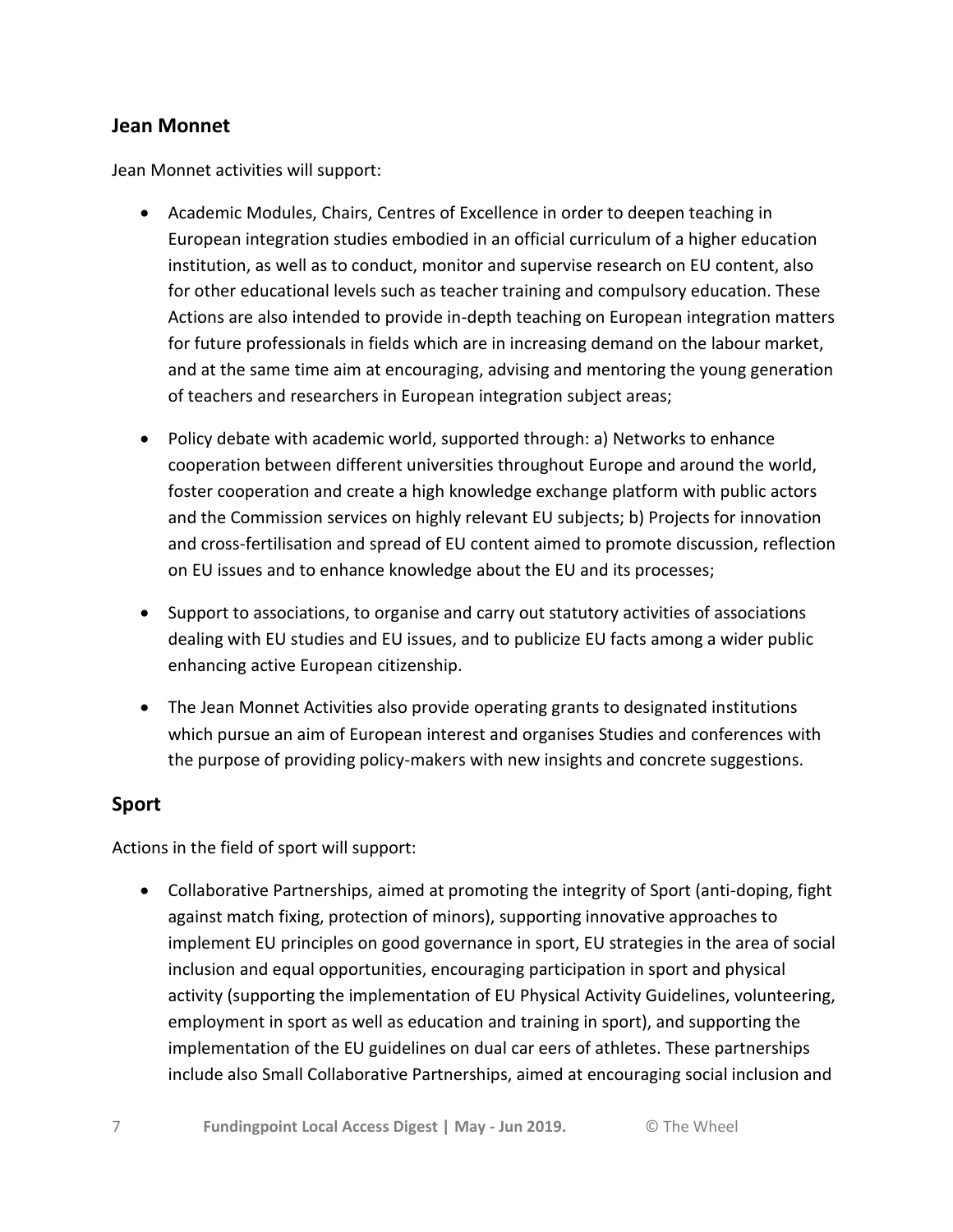#### **Jean Monnet**

Jean Monnet activities will support:

- Academic Modules, Chairs, Centres of Excellence in order to deepen teaching in European integration studies embodied in an official curriculum of a higher education institution, as well as to conduct, monitor and supervise research on EU content, also for other educational levels such as teacher training and compulsory education. These Actions are also intended to provide in-depth teaching on European integration matters for future professionals in fields which are in increasing demand on the labour market, and at the same time aim at encouraging, advising and mentoring the young generation of teachers and researchers in European integration subject areas;
- Policy debate with academic world, supported through: a) Networks to enhance cooperation between different universities throughout Europe and around the world, foster cooperation and create a high knowledge exchange platform with public actors and the Commission services on highly relevant EU subjects; b) Projects for innovation and cross-fertilisation and spread of EU content aimed to promote discussion, reflection on EU issues and to enhance knowledge about the EU and its processes;
- Support to associations, to organise and carry out statutory activities of associations dealing with EU studies and EU issues, and to publicize EU facts among a wider public enhancing active European citizenship.
- The Jean Monnet Activities also provide operating grants to designated institutions which pursue an aim of European interest and organises Studies and conferences with the purpose of providing policy-makers with new insights and concrete suggestions.

#### **Sport**

Actions in the field of sport will support:

 Collaborative Partnerships, aimed at promoting the integrity of Sport (anti-doping, fight against match fixing, protection of minors), supporting innovative approaches to implement EU principles on good governance in sport, EU strategies in the area of social inclusion and equal opportunities, encouraging participation in sport and physical activity (supporting the implementation of EU Physical Activity Guidelines, volunteering, employment in sport as well as education and training in sport), and supporting the implementation of the EU guidelines on dual car eers of athletes. These partnerships include also Small Collaborative Partnerships, aimed at encouraging social inclusion and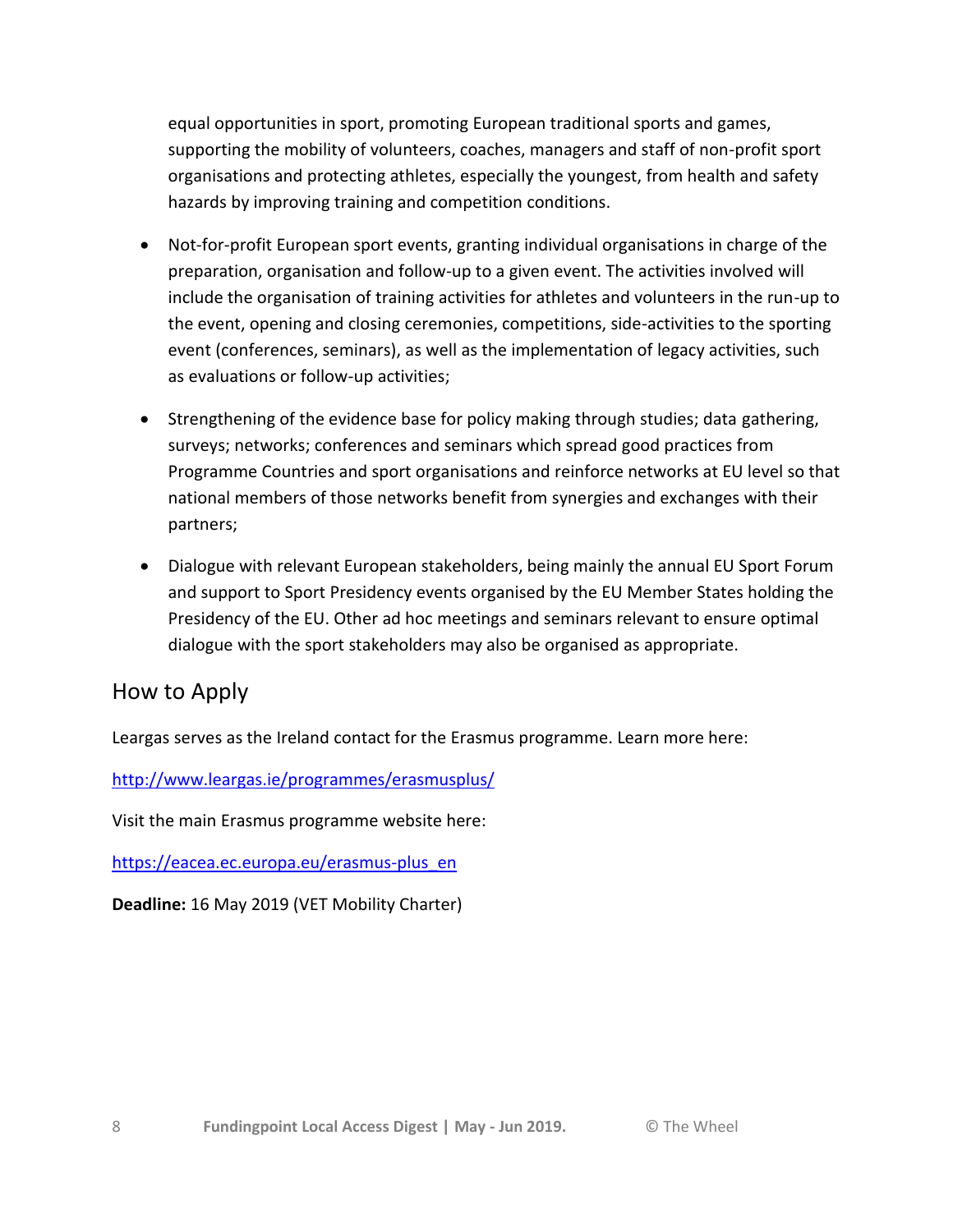equal opportunities in sport, promoting European traditional sports and games, supporting the mobility of volunteers, coaches, managers and staff of non-profit sport organisations and protecting athletes, especially the youngest, from health and safety hazards by improving training and competition conditions.

- Not-for-profit European sport events, granting individual organisations in charge of the preparation, organisation and follow-up to a given event. The activities involved will include the organisation of training activities for athletes and volunteers in the run-up to the event, opening and closing ceremonies, competitions, side-activities to the sporting event (conferences, seminars), as well as the implementation of legacy activities, such as evaluations or follow-up activities;
- Strengthening of the evidence base for policy making through studies; data gathering, surveys; networks; conferences and seminars which spread good practices from Programme Countries and sport organisations and reinforce networks at EU level so that national members of those networks benefit from synergies and exchanges with their partners;
- Dialogue with relevant European stakeholders, being mainly the annual EU Sport Forum and support to Sport Presidency events organised by the EU Member States holding the Presidency of the EU. Other ad hoc meetings and seminars relevant to ensure optimal dialogue with the sport stakeholders may also be organised as appropriate.

## How to Apply

Leargas serves as the Ireland contact for the Erasmus programme. Learn more here:

<http://www.leargas.ie/programmes/erasmusplus/>

Visit the main Erasmus programme website here:

[https://eacea.ec.europa.eu/erasmus-plus\\_en](https://eacea.ec.europa.eu/erasmus-plus_en)

**Deadline:** 16 May 2019 (VET Mobility Charter)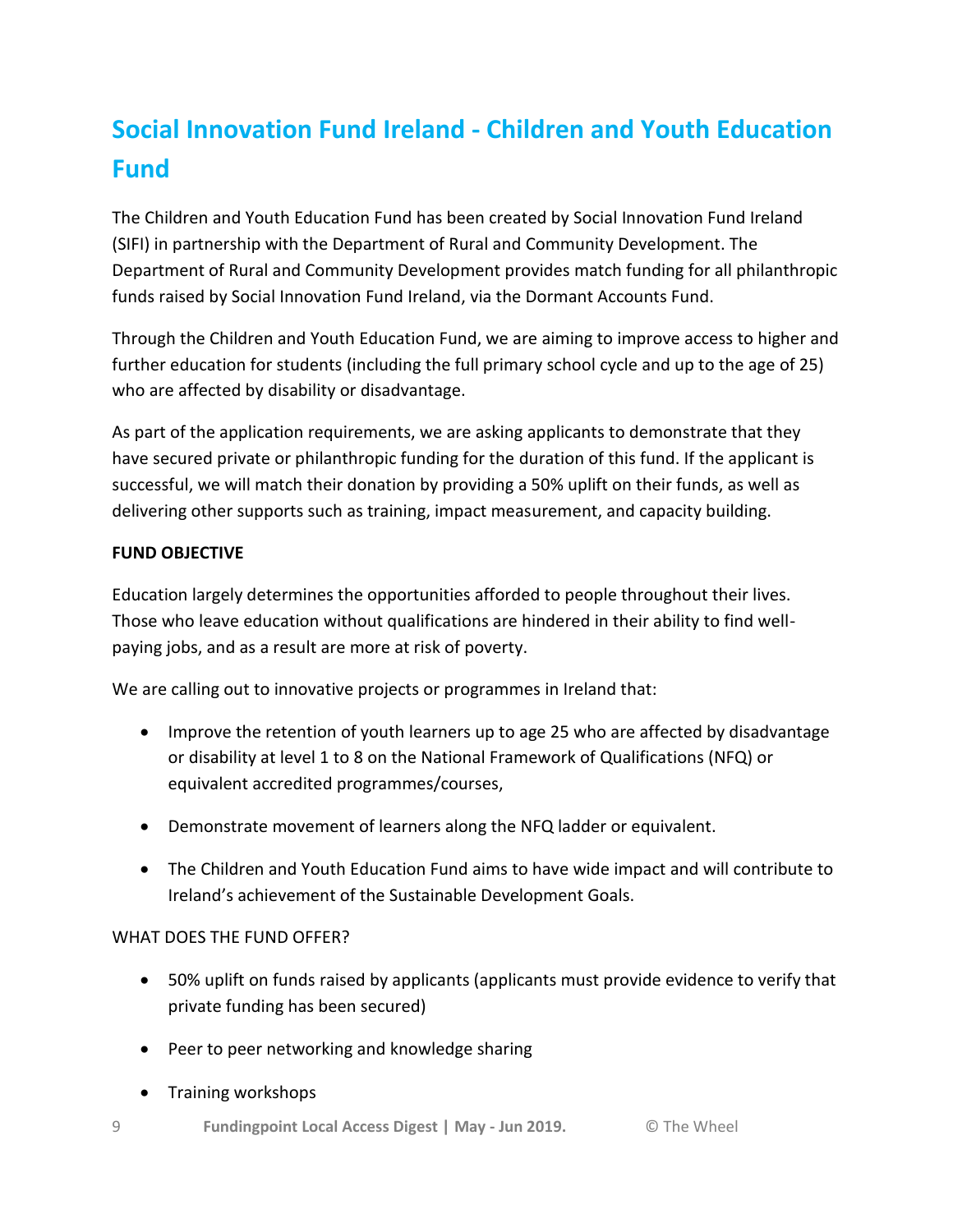# **Social Innovation Fund Ireland - Children and Youth Education Fund**

The Children and Youth Education Fund has been created by Social Innovation Fund Ireland (SIFI) in partnership with the Department of Rural and Community Development. The Department of Rural and Community Development provides match funding for all philanthropic funds raised by Social Innovation Fund Ireland, via the Dormant Accounts Fund.

Through the Children and Youth Education Fund, we are aiming to improve access to higher and further education for students (including the full primary school cycle and up to the age of 25) who are affected by disability or disadvantage.

As part of the application requirements, we are asking applicants to demonstrate that they have secured private or philanthropic funding for the duration of this fund. If the applicant is successful, we will match their donation by providing a 50% uplift on their funds, as well as delivering other supports such as training, impact measurement, and capacity building.

#### **FUND OBJECTIVE**

Education largely determines the opportunities afforded to people throughout their lives. Those who leave education without qualifications are hindered in their ability to find wellpaying jobs, and as a result are more at risk of poverty.

We are calling out to innovative projects or programmes in Ireland that:

- Improve the retention of youth learners up to age 25 who are affected by disadvantage or disability at level 1 to 8 on the National Framework of Qualifications (NFQ) or equivalent accredited programmes/courses,
- Demonstrate movement of learners along the NFQ ladder or equivalent.
- The Children and Youth Education Fund aims to have wide impact and will contribute to Ireland's achievement of the Sustainable Development Goals.

#### WHAT DOES THE FUND OFFER?

- 50% uplift on funds raised by applicants (applicants must provide evidence to verify that private funding has been secured)
- Peer to peer networking and knowledge sharing
- Training workshops
- 9 **Fundingpoint Local Access Digest | May - Jun 2019.** © The Wheel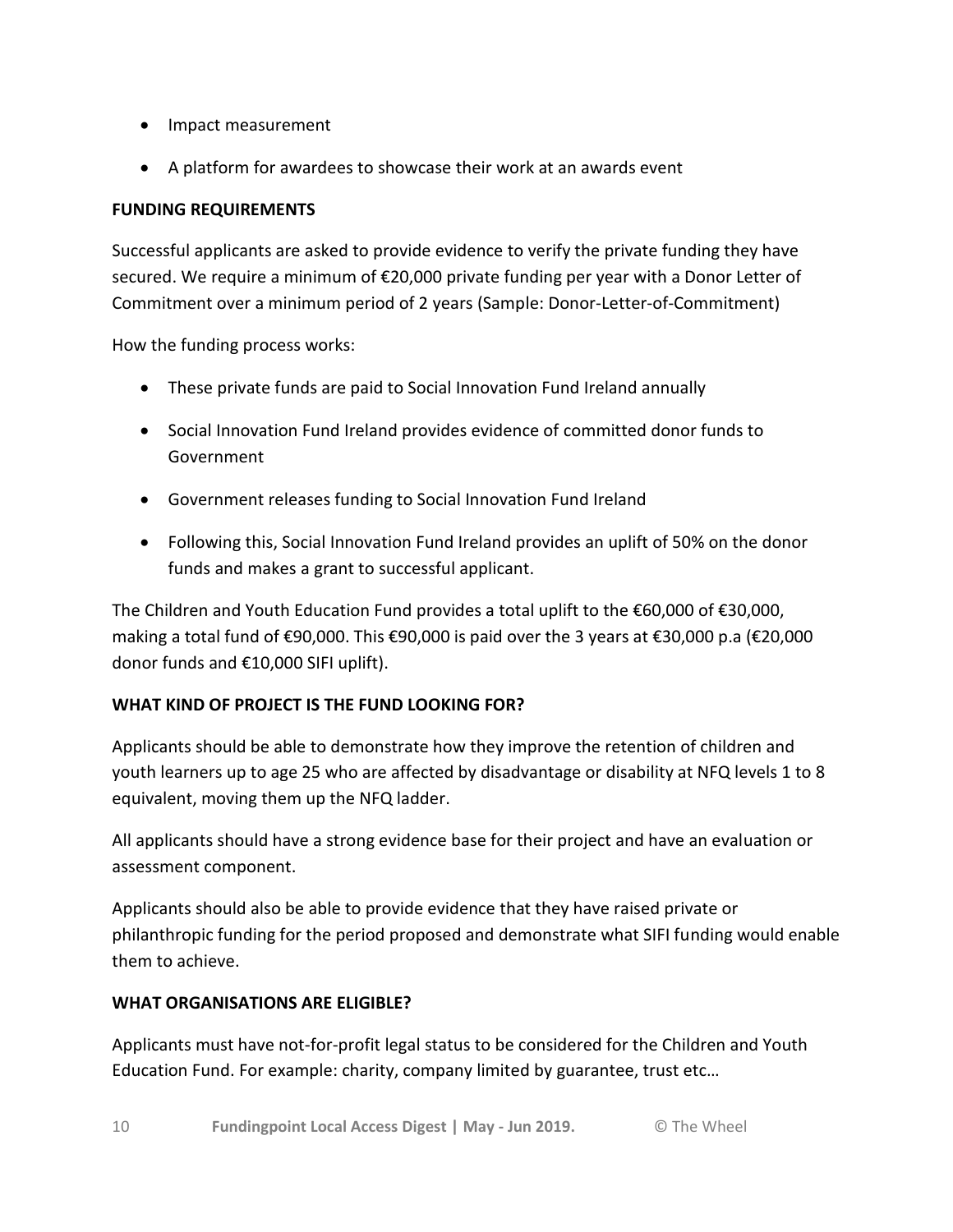- Impact measurement
- A platform for awardees to showcase their work at an awards event

#### **FUNDING REQUIREMENTS**

Successful applicants are asked to provide evidence to verify the private funding they have secured. We require a minimum of €20,000 private funding per year with a Donor Letter of Commitment over a minimum period of 2 years (Sample: Donor-Letter-of-Commitment)

How the funding process works:

- These private funds are paid to Social Innovation Fund Ireland annually
- Social Innovation Fund Ireland provides evidence of committed donor funds to Government
- Government releases funding to Social Innovation Fund Ireland
- Following this, Social Innovation Fund Ireland provides an uplift of 50% on the donor funds and makes a grant to successful applicant.

The Children and Youth Education Fund provides a total uplift to the  $\epsilon$ 60,000 of  $\epsilon$ 30,000, making a total fund of €90,000. This €90,000 is paid over the 3 years at €30,000 p.a (€20,000 donor funds and €10,000 SIFI uplift).

#### **WHAT KIND OF PROJECT IS THE FUND LOOKING FOR?**

Applicants should be able to demonstrate how they improve the retention of children and youth learners up to age 25 who are affected by disadvantage or disability at NFQ levels 1 to 8 equivalent, moving them up the NFQ ladder.

All applicants should have a strong evidence base for their project and have an evaluation or assessment component.

Applicants should also be able to provide evidence that they have raised private or philanthropic funding for the period proposed and demonstrate what SIFI funding would enable them to achieve.

#### **WHAT ORGANISATIONS ARE ELIGIBLE?**

Applicants must have not-for-profit legal status to be considered for the Children and Youth Education Fund. For example: charity, company limited by guarantee, trust etc…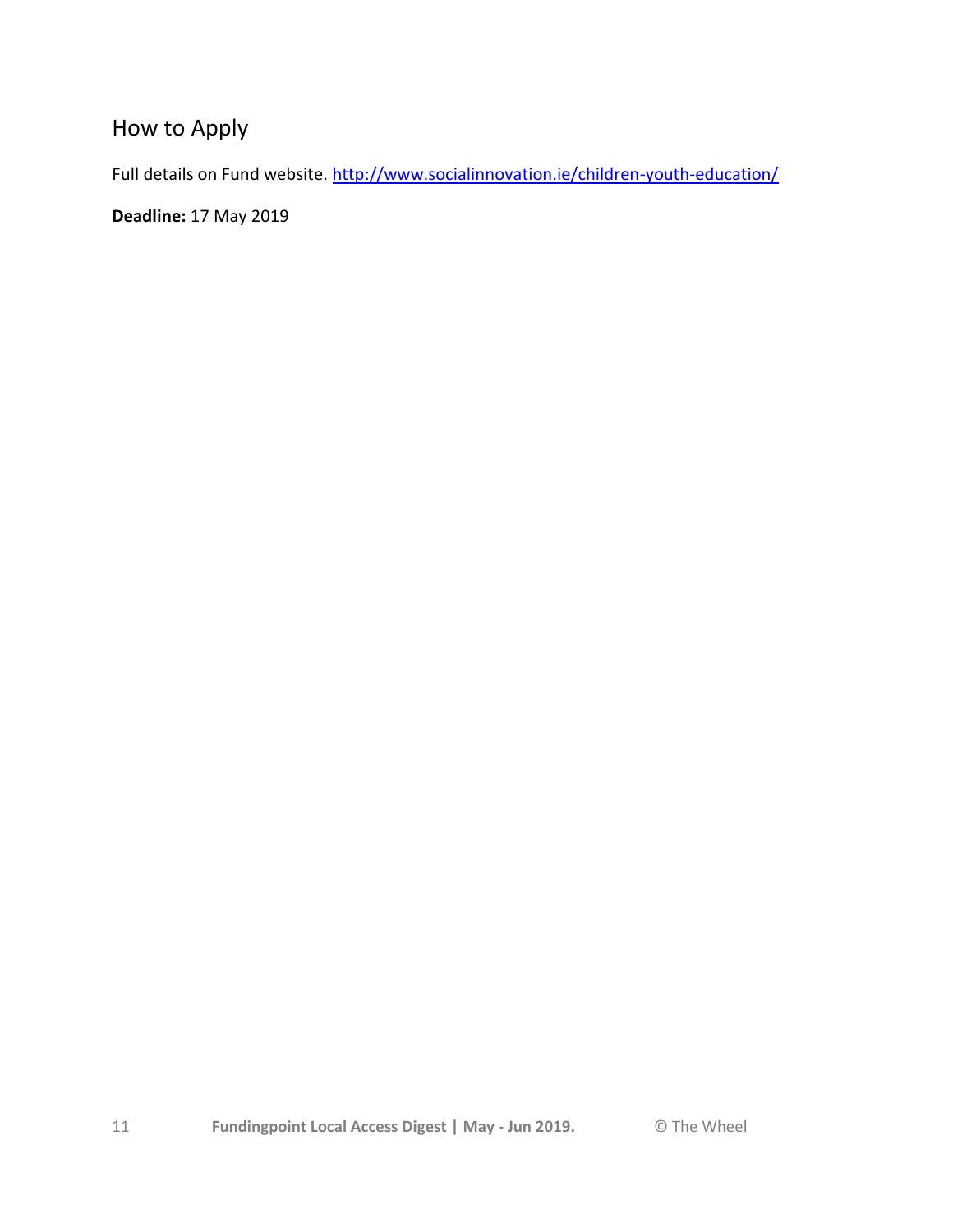# How to Apply

Full details on Fund website.<http://www.socialinnovation.ie/children-youth-education/>

**Deadline:** 17 May 2019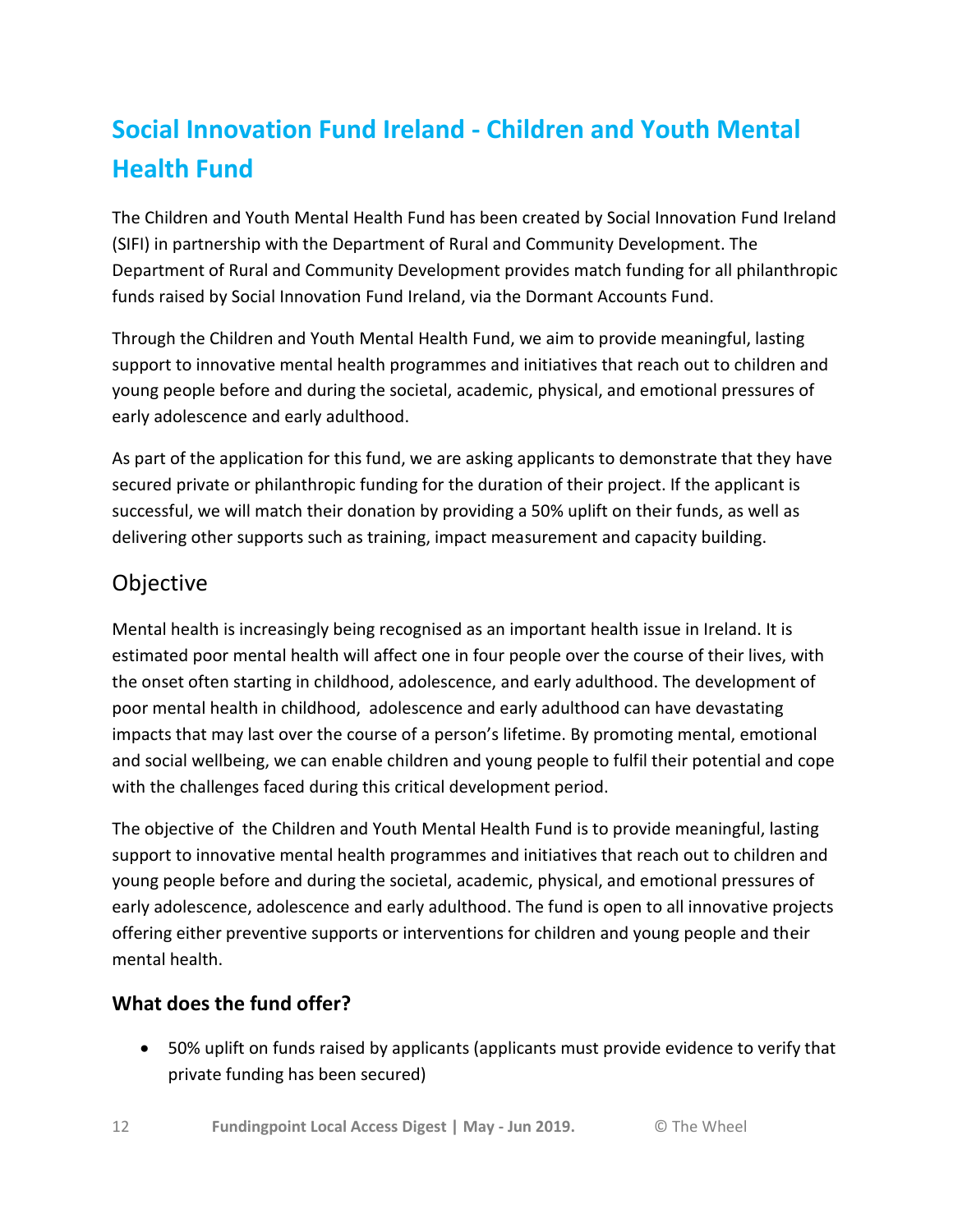# **Social Innovation Fund Ireland - Children and Youth Mental Health Fund**

The Children and Youth Mental Health Fund has been created by Social Innovation Fund Ireland (SIFI) in partnership with the Department of Rural and Community Development. The Department of Rural and Community Development provides match funding for all philanthropic funds raised by Social Innovation Fund Ireland, via the Dormant Accounts Fund.

Through the Children and Youth Mental Health Fund, we aim to provide meaningful, lasting support to innovative mental health programmes and initiatives that reach out to children and young people before and during the societal, academic, physical, and emotional pressures of early adolescence and early adulthood.

As part of the application for this fund, we are asking applicants to demonstrate that they have secured private or philanthropic funding for the duration of their project. If the applicant is successful, we will match their donation by providing a 50% uplift on their funds, as well as delivering other supports such as training, impact measurement and capacity building.

# **Objective**

Mental health is increasingly being recognised as an important health issue in Ireland. It is estimated poor mental health will affect one in four people over the course of their lives, with the onset often starting in childhood, adolescence, and early adulthood. The development of poor mental health in childhood, adolescence and early adulthood can have devastating impacts that may last over the course of a person's lifetime. By promoting mental, emotional and social wellbeing, we can enable children and young people to fulfil their potential and cope with the challenges faced during this critical development period.

The objective of the Children and Youth Mental Health Fund is to provide meaningful, lasting support to innovative mental health programmes and initiatives that reach out to children and young people before and during the societal, academic, physical, and emotional pressures of early adolescence, adolescence and early adulthood. The fund is open to all innovative projects offering either preventive supports or interventions for children and young people and their mental health.

## **What does the fund offer?**

 50% uplift on funds raised by applicants (applicants must provide evidence to verify that private funding has been secured)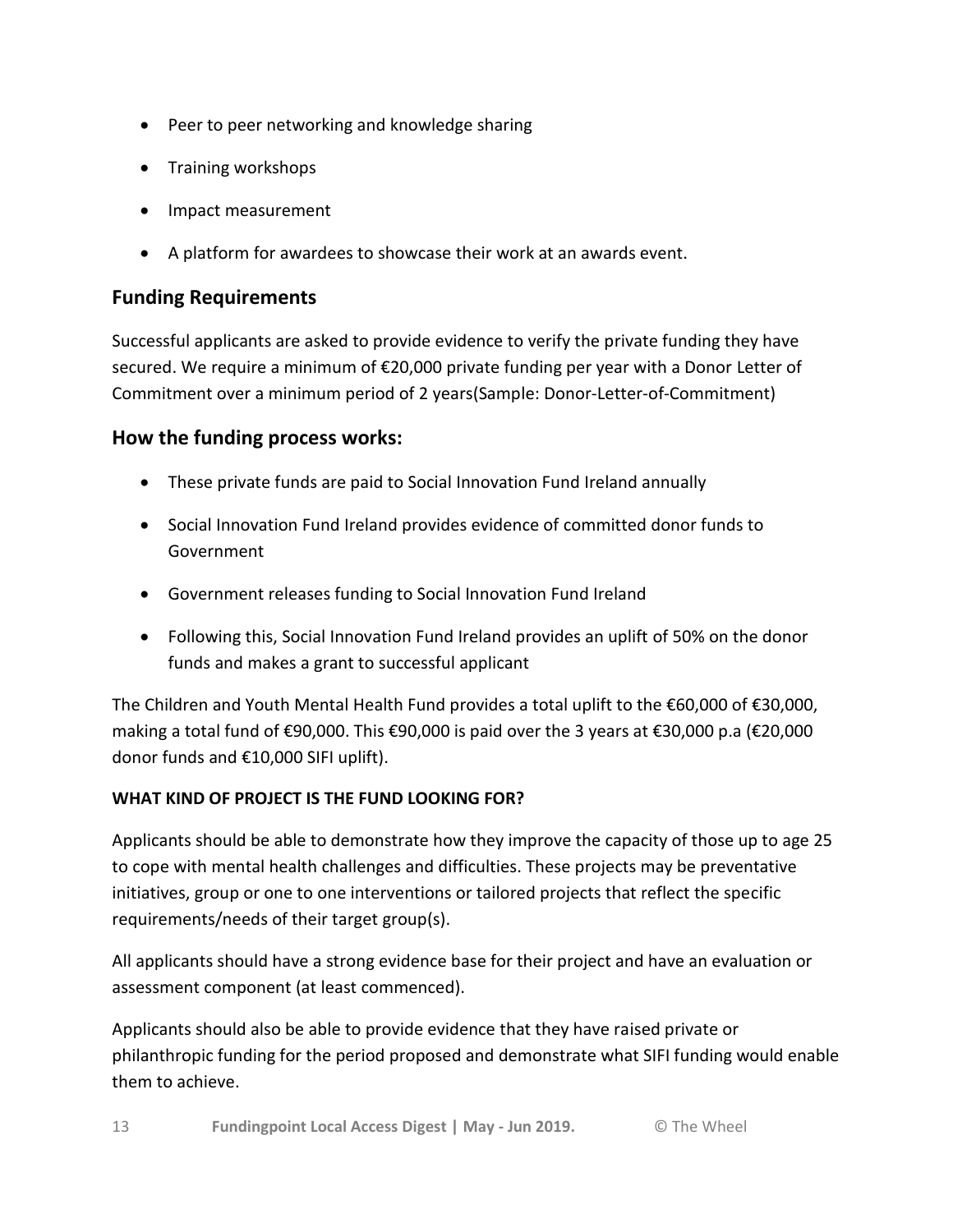- Peer to peer networking and knowledge sharing
- Training workshops
- Impact measurement
- A platform for awardees to showcase their work at an awards event.

### **Funding Requirements**

Successful applicants are asked to provide evidence to verify the private funding they have secured. We require a minimum of €20,000 private funding per year with a Donor Letter of Commitment over a minimum period of 2 years(Sample: Donor-Letter-of-Commitment)

### **How the funding process works:**

- These private funds are paid to Social Innovation Fund Ireland annually
- Social Innovation Fund Ireland provides evidence of committed donor funds to Government
- Government releases funding to Social Innovation Fund Ireland
- Following this, Social Innovation Fund Ireland provides an uplift of 50% on the donor funds and makes a grant to successful applicant

The Children and Youth Mental Health Fund provides a total uplift to the €60,000 of €30,000, making a total fund of €90,000. This €90,000 is paid over the 3 years at €30,000 p.a (€20,000 donor funds and €10,000 SIFI uplift).

#### **WHAT KIND OF PROJECT IS THE FUND LOOKING FOR?**

Applicants should be able to demonstrate how they improve the capacity of those up to age 25 to cope with mental health challenges and difficulties. These projects may be preventative initiatives, group or one to one interventions or tailored projects that reflect the specific requirements/needs of their target group(s).

All applicants should have a strong evidence base for their project and have an evaluation or assessment component (at least commenced).

Applicants should also be able to provide evidence that they have raised private or philanthropic funding for the period proposed and demonstrate what SIFI funding would enable them to achieve.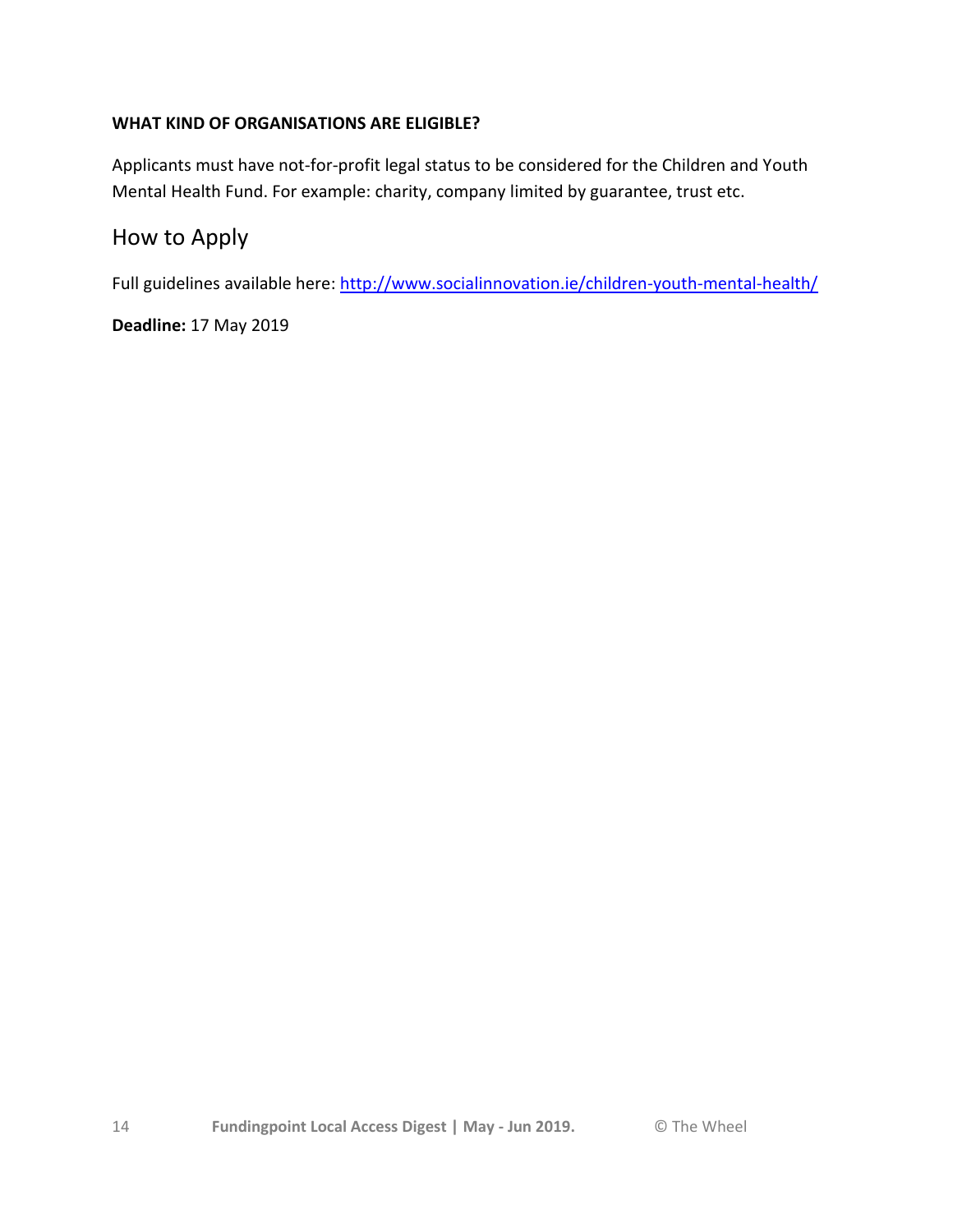#### **WHAT KIND OF ORGANISATIONS ARE ELIGIBLE?**

Applicants must have not-for-profit legal status to be considered for the Children and Youth Mental Health Fund. For example: charity, company limited by guarantee, trust etc.

## How to Apply

Full guidelines available here:<http://www.socialinnovation.ie/children-youth-mental-health/>

**Deadline:** 17 May 2019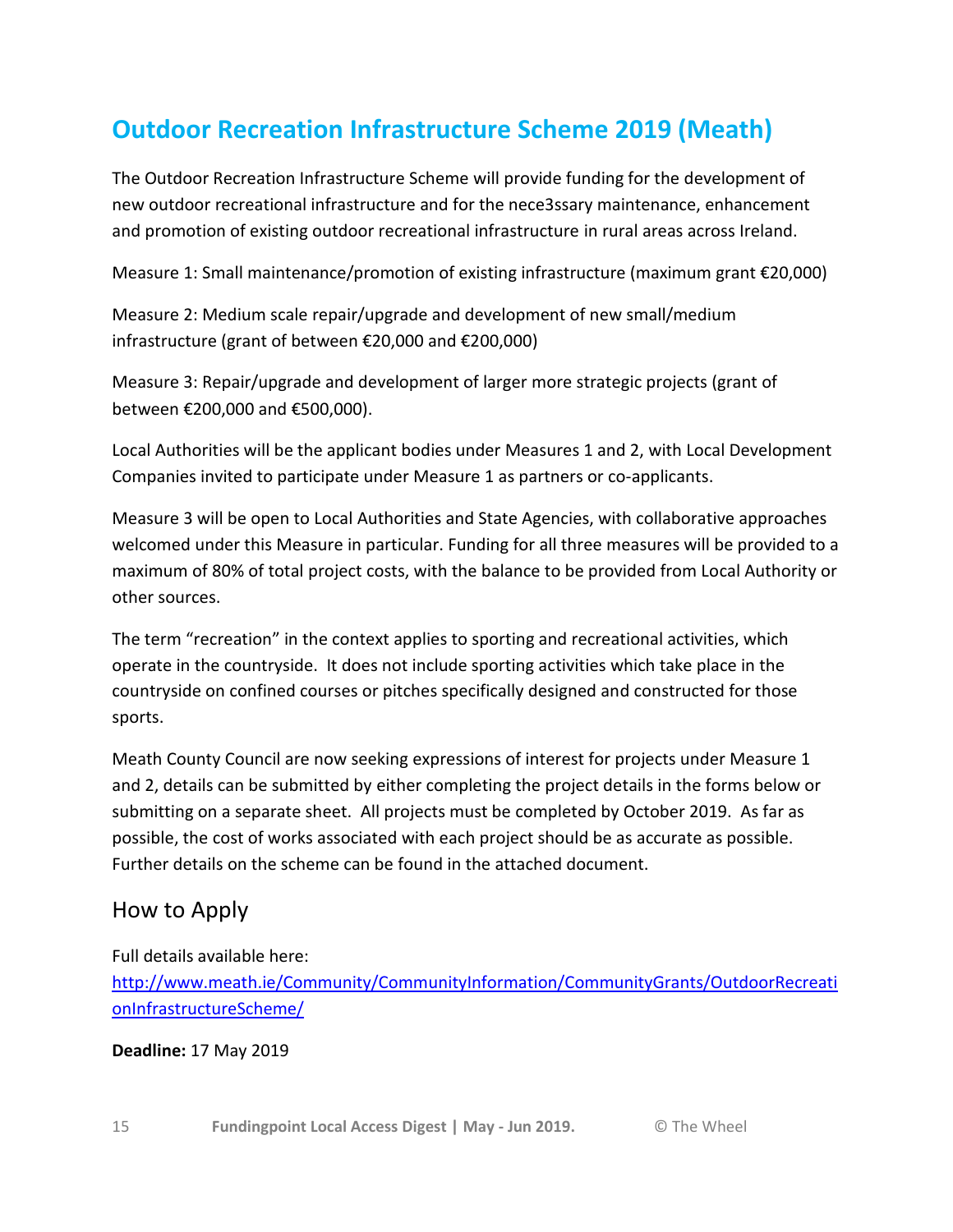# **Outdoor Recreation Infrastructure Scheme 2019 (Meath)**

The Outdoor Recreation Infrastructure Scheme will provide funding for the development of new outdoor recreational infrastructure and for the nece3ssary maintenance, enhancement and promotion of existing outdoor recreational infrastructure in rural areas across Ireland.

Measure 1: Small maintenance/promotion of existing infrastructure (maximum grant €20,000)

Measure 2: Medium scale repair/upgrade and development of new small/medium infrastructure (grant of between €20,000 and €200,000)

Measure 3: Repair/upgrade and development of larger more strategic projects (grant of between €200,000 and €500,000).

Local Authorities will be the applicant bodies under Measures 1 and 2, with Local Development Companies invited to participate under Measure 1 as partners or co-applicants.

Measure 3 will be open to Local Authorities and State Agencies, with collaborative approaches welcomed under this Measure in particular. Funding for all three measures will be provided to a maximum of 80% of total project costs, with the balance to be provided from Local Authority or other sources.

The term "recreation" in the context applies to sporting and recreational activities, which operate in the countryside. It does not include sporting activities which take place in the countryside on confined courses or pitches specifically designed and constructed for those sports.

Meath County Council are now seeking expressions of interest for projects under Measure 1 and 2, details can be submitted by either completing the project details in the forms below or submitting on a separate sheet. All projects must be completed by October 2019. As far as possible, the cost of works associated with each project should be as accurate as possible. Further details on the scheme can be found in the attached document.

## How to Apply

Full details available here: [http://www.meath.ie/Community/CommunityInformation/CommunityGrants/OutdoorRecreati](http://www.meath.ie/Community/CommunityInformation/CommunityGrants/OutdoorRecreationInfrastructureScheme/) [onInfrastructureScheme/](http://www.meath.ie/Community/CommunityInformation/CommunityGrants/OutdoorRecreationInfrastructureScheme/)

#### **Deadline:** 17 May 2019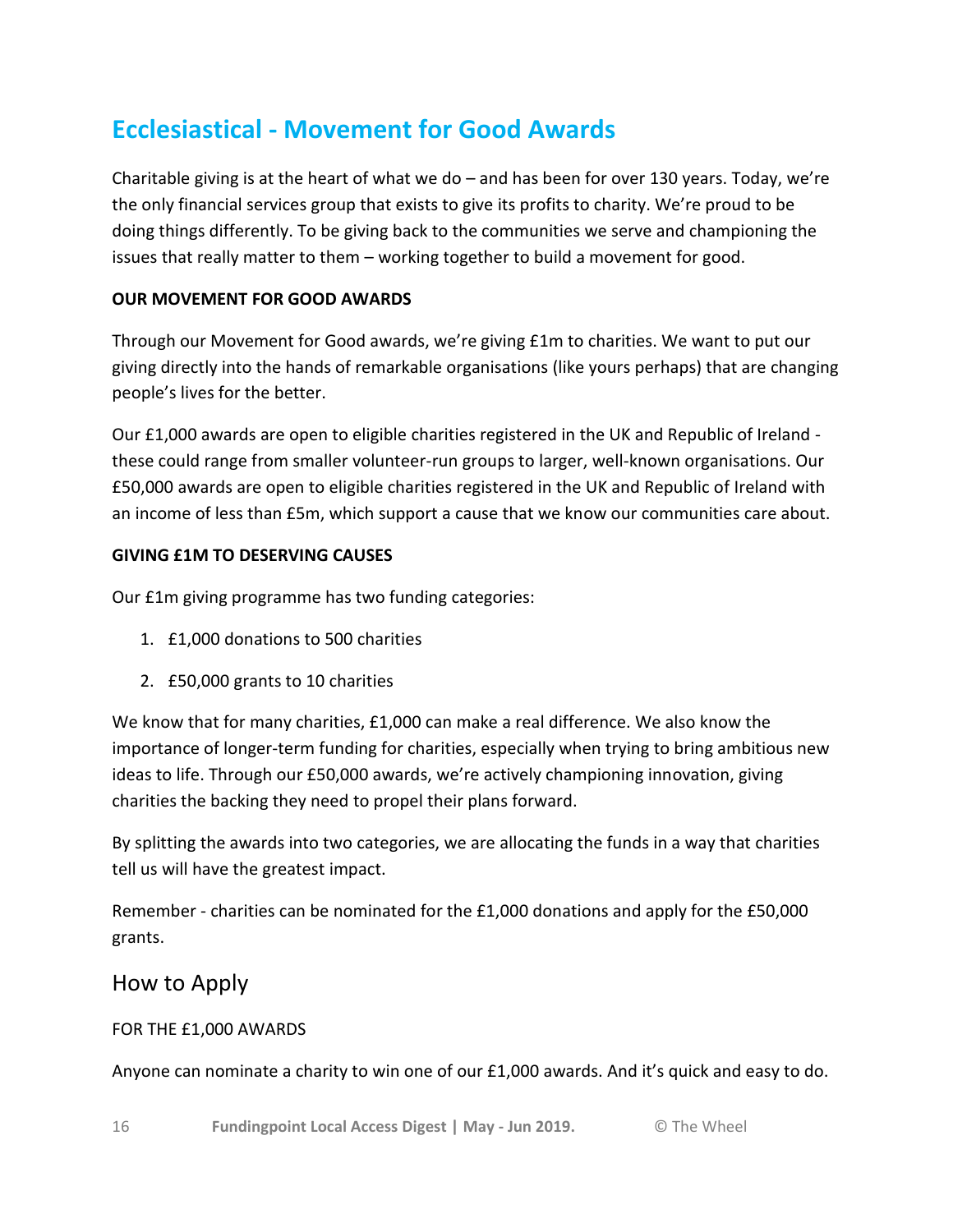# **Ecclesiastical - Movement for Good Awards**

Charitable giving is at the heart of what we do  $-$  and has been for over 130 years. Today, we're the only financial services group that exists to give its profits to charity. We're proud to be doing things differently. To be giving back to the communities we serve and championing the issues that really matter to them – working together to build a movement for good.

#### **OUR MOVEMENT FOR GOOD AWARDS**

Through our Movement for Good awards, we're giving £1m to charities. We want to put our giving directly into the hands of remarkable organisations (like yours perhaps) that are changing people's lives for the better.

Our £1,000 awards are open to eligible charities registered in the UK and Republic of Ireland these could range from smaller volunteer-run groups to larger, well-known organisations. Our £50,000 awards are open to eligible charities registered in the UK and Republic of Ireland with an income of less than £5m, which support a cause that we know our communities care about.

#### **GIVING £1M TO DESERVING CAUSES**

Our £1m giving programme has two funding categories:

- 1. £1,000 donations to 500 charities
- 2. £50,000 grants to 10 charities

We know that for many charities, £1,000 can make a real difference. We also know the importance of longer-term funding for charities, especially when trying to bring ambitious new ideas to life. Through our £50,000 awards, we're actively championing innovation, giving charities the backing they need to propel their plans forward.

By splitting the awards into two categories, we are allocating the funds in a way that charities tell us will have the greatest impact.

Remember - charities can be nominated for the £1,000 donations and apply for the £50,000 grants.

### How to Apply

#### FOR THE £1,000 AWARDS

Anyone can nominate a charity to win one of our £1,000 awards. And it's quick and easy to do.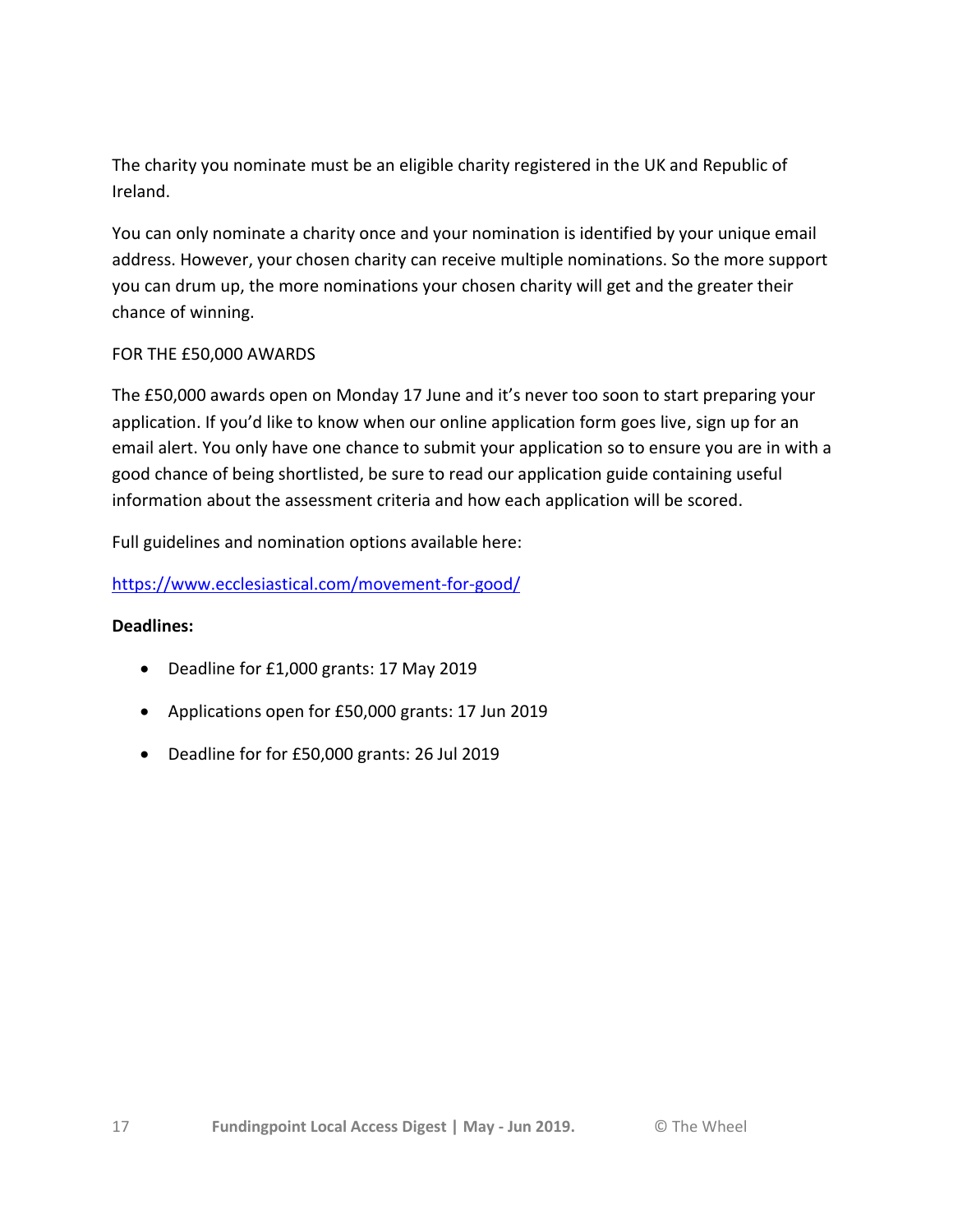The charity you nominate must be an eligible charity registered in the UK and Republic of Ireland.

You can only nominate a charity once and your nomination is identified by your unique email address. However, your chosen charity can receive multiple nominations. So the more support you can drum up, the more nominations your chosen charity will get and the greater their chance of winning.

#### FOR THE £50,000 AWARDS

The £50,000 awards open on Monday 17 June and it's never too soon to start preparing your application. If you'd like to know when our online application form goes live, sign up for an email alert. You only have one chance to submit your application so to ensure you are in with a good chance of being shortlisted, be sure to read our application guide containing useful information about the assessment criteria and how each application will be scored.

Full guidelines and nomination options available here:

#### <https://www.ecclesiastical.com/movement-for-good/>

#### **Deadlines:**

- Deadline for £1,000 grants: 17 May 2019
- Applications open for £50,000 grants: 17 Jun 2019
- Deadline for for £50,000 grants: 26 Jul 2019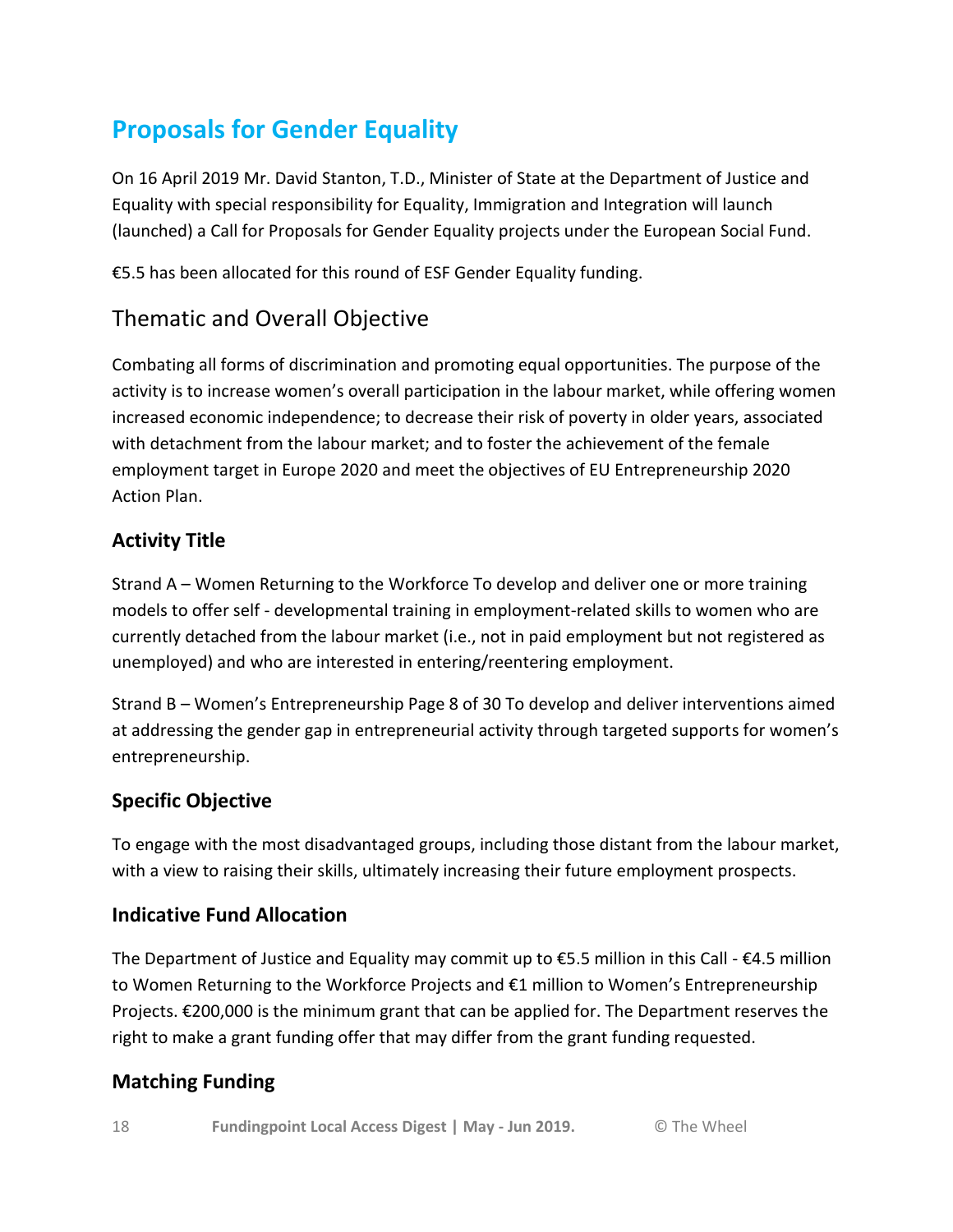# **Proposals for Gender Equality**

On 16 April 2019 Mr. David Stanton, T.D., Minister of State at the Department of Justice and Equality with special responsibility for Equality, Immigration and Integration will launch (launched) a Call for Proposals for Gender Equality projects under the European Social Fund.

€5.5 has been allocated for this round of ESF Gender Equality funding.

# Thematic and Overall Objective

Combating all forms of discrimination and promoting equal opportunities. The purpose of the activity is to increase women's overall participation in the labour market, while offering women increased economic independence; to decrease their risk of poverty in older years, associated with detachment from the labour market; and to foster the achievement of the female employment target in Europe 2020 and meet the objectives of EU Entrepreneurship 2020 Action Plan.

### **Activity Title**

Strand A – Women Returning to the Workforce To develop and deliver one or more training models to offer self - developmental training in employment-related skills to women who are currently detached from the labour market (i.e., not in paid employment but not registered as unemployed) and who are interested in entering/reentering employment.

Strand B – Women's Entrepreneurship Page 8 of 30 To develop and deliver interventions aimed at addressing the gender gap in entrepreneurial activity through targeted supports for women's entrepreneurship.

### **Specific Objective**

To engage with the most disadvantaged groups, including those distant from the labour market, with a view to raising their skills, ultimately increasing their future employment prospects.

### **Indicative Fund Allocation**

The Department of Justice and Equality may commit up to  $\epsilon$ 5.5 million in this Call -  $\epsilon$ 4.5 million to Women Returning to the Workforce Projects and €1 million to Women's Entrepreneurship Projects. €200,000 is the minimum grant that can be applied for. The Department reserves the right to make a grant funding offer that may differ from the grant funding requested.

## **Matching Funding**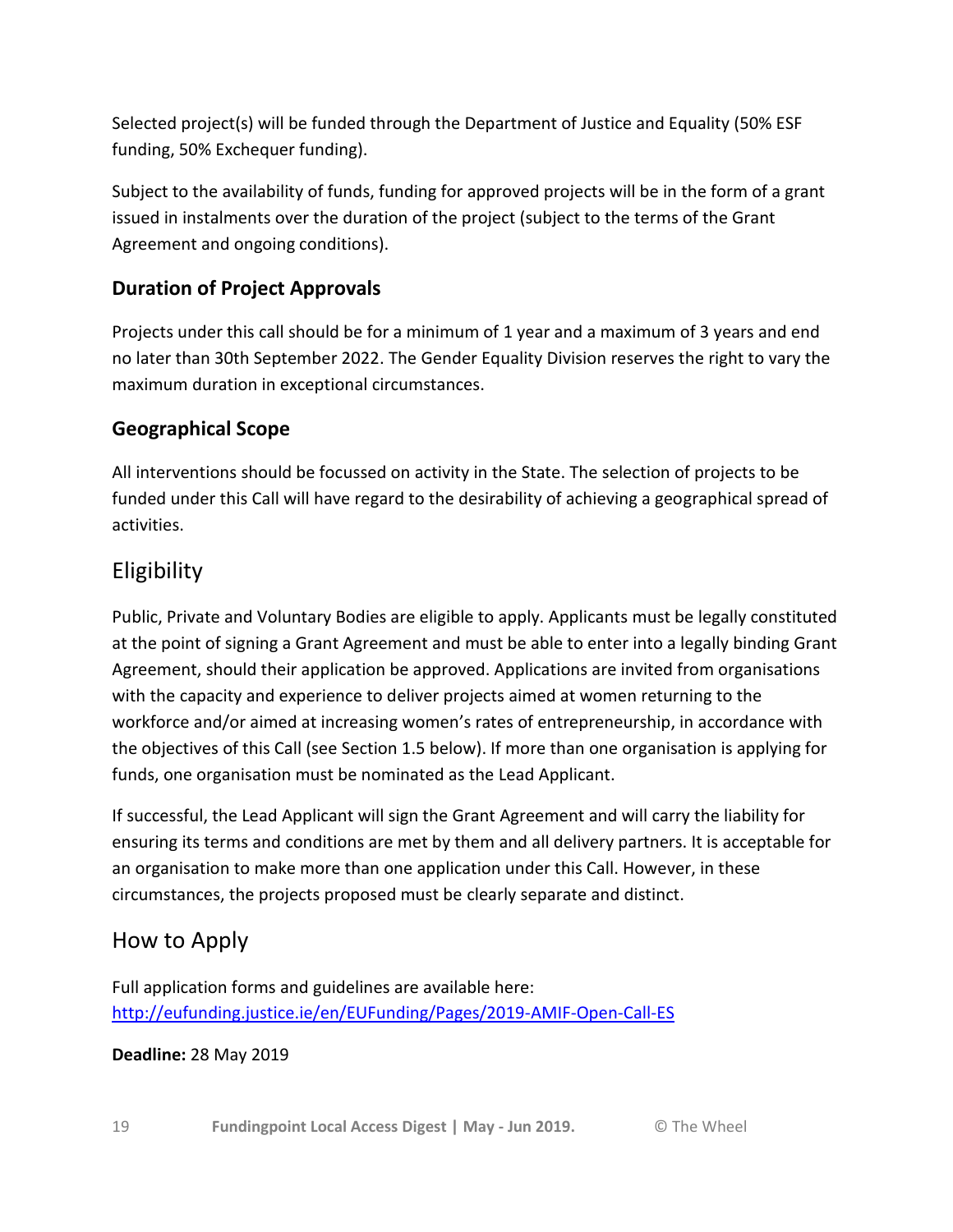Selected project(s) will be funded through the Department of Justice and Equality (50% ESF funding, 50% Exchequer funding).

Subject to the availability of funds, funding for approved projects will be in the form of a grant issued in instalments over the duration of the project (subject to the terms of the Grant Agreement and ongoing conditions).

## **Duration of Project Approvals**

Projects under this call should be for a minimum of 1 year and a maximum of 3 years and end no later than 30th September 2022. The Gender Equality Division reserves the right to vary the maximum duration in exceptional circumstances.

## **Geographical Scope**

All interventions should be focussed on activity in the State. The selection of projects to be funded under this Call will have regard to the desirability of achieving a geographical spread of activities.

## Eligibility

Public, Private and Voluntary Bodies are eligible to apply. Applicants must be legally constituted at the point of signing a Grant Agreement and must be able to enter into a legally binding Grant Agreement, should their application be approved. Applications are invited from organisations with the capacity and experience to deliver projects aimed at women returning to the workforce and/or aimed at increasing women's rates of entrepreneurship, in accordance with the objectives of this Call (see Section 1.5 below). If more than one organisation is applying for funds, one organisation must be nominated as the Lead Applicant.

If successful, the Lead Applicant will sign the Grant Agreement and will carry the liability for ensuring its terms and conditions are met by them and all delivery partners. It is acceptable for an organisation to make more than one application under this Call. However, in these circumstances, the projects proposed must be clearly separate and distinct.

## How to Apply

Full application forms and guidelines are available here: <http://eufunding.justice.ie/en/EUFunding/Pages/2019-AMIF-Open-Call-ES>

#### **Deadline:** 28 May 2019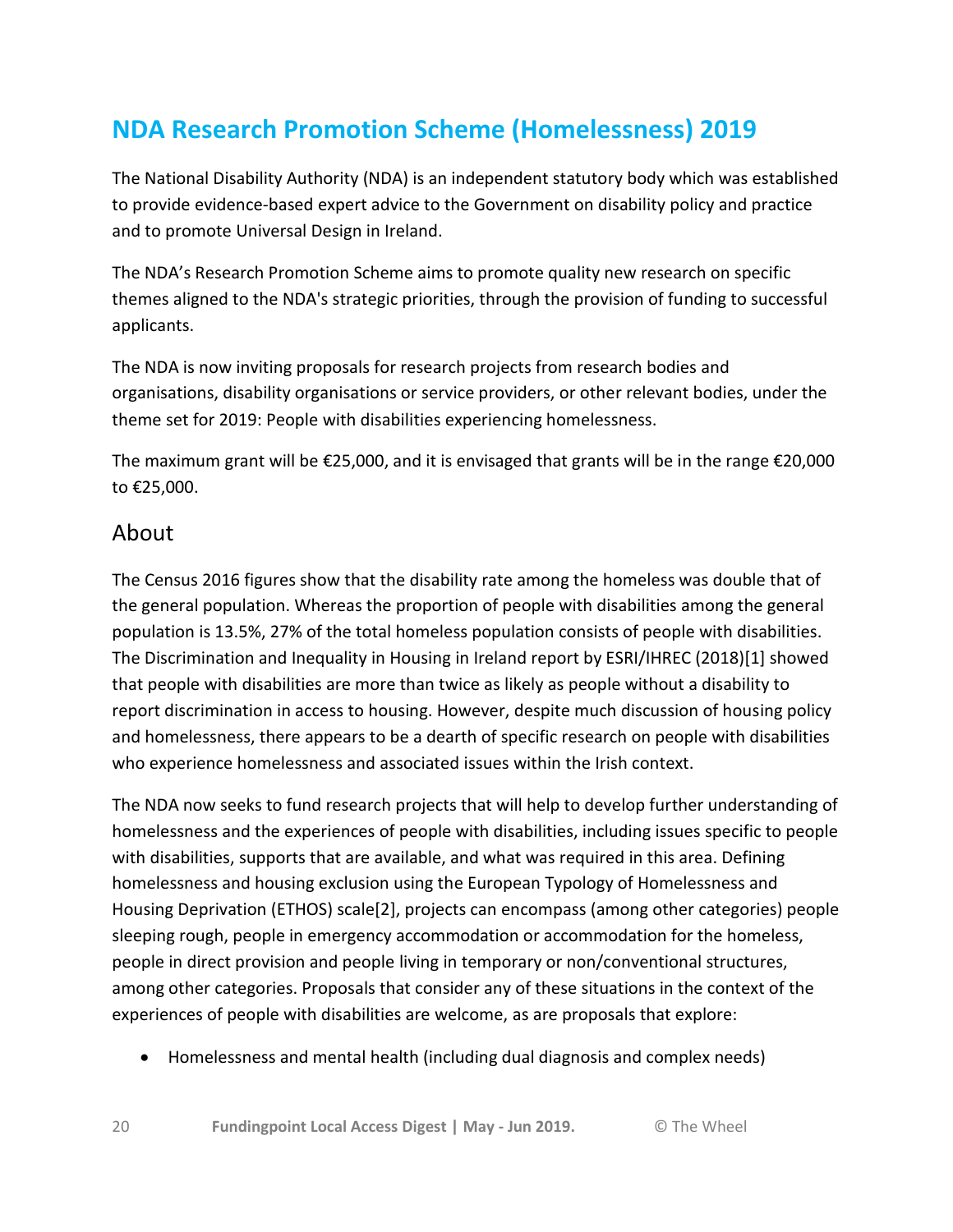# **NDA Research Promotion Scheme (Homelessness) 2019**

The National Disability Authority (NDA) is an independent statutory body which was established to provide evidence-based expert advice to the Government on disability policy and practice and to promote Universal Design in Ireland.

The NDA's Research Promotion Scheme aims to promote quality new research on specific themes aligned to the NDA's strategic priorities, through the provision of funding to successful applicants.

The NDA is now inviting proposals for research projects from research bodies and organisations, disability organisations or service providers, or other relevant bodies, under the theme set for 2019: People with disabilities experiencing homelessness.

The maximum grant will be €25,000, and it is envisaged that grants will be in the range €20,000 to €25,000.

### About

The Census 2016 figures show that the disability rate among the homeless was double that of the general population. Whereas the proportion of people with disabilities among the general population is 13.5%, 27% of the total homeless population consists of people with disabilities. The Discrimination and Inequality in Housing in Ireland report by ESRI/IHREC (2018)[1] showed that people with disabilities are more than twice as likely as people without a disability to report discrimination in access to housing. However, despite much discussion of housing policy and homelessness, there appears to be a dearth of specific research on people with disabilities who experience homelessness and associated issues within the Irish context.

The NDA now seeks to fund research projects that will help to develop further understanding of homelessness and the experiences of people with disabilities, including issues specific to people with disabilities, supports that are available, and what was required in this area. Defining homelessness and housing exclusion using the European Typology of Homelessness and Housing Deprivation (ETHOS) scale[2], projects can encompass (among other categories) people sleeping rough, people in emergency accommodation or accommodation for the homeless, people in direct provision and people living in temporary or non/conventional structures, among other categories. Proposals that consider any of these situations in the context of the experiences of people with disabilities are welcome, as are proposals that explore:

Homelessness and mental health (including dual diagnosis and complex needs)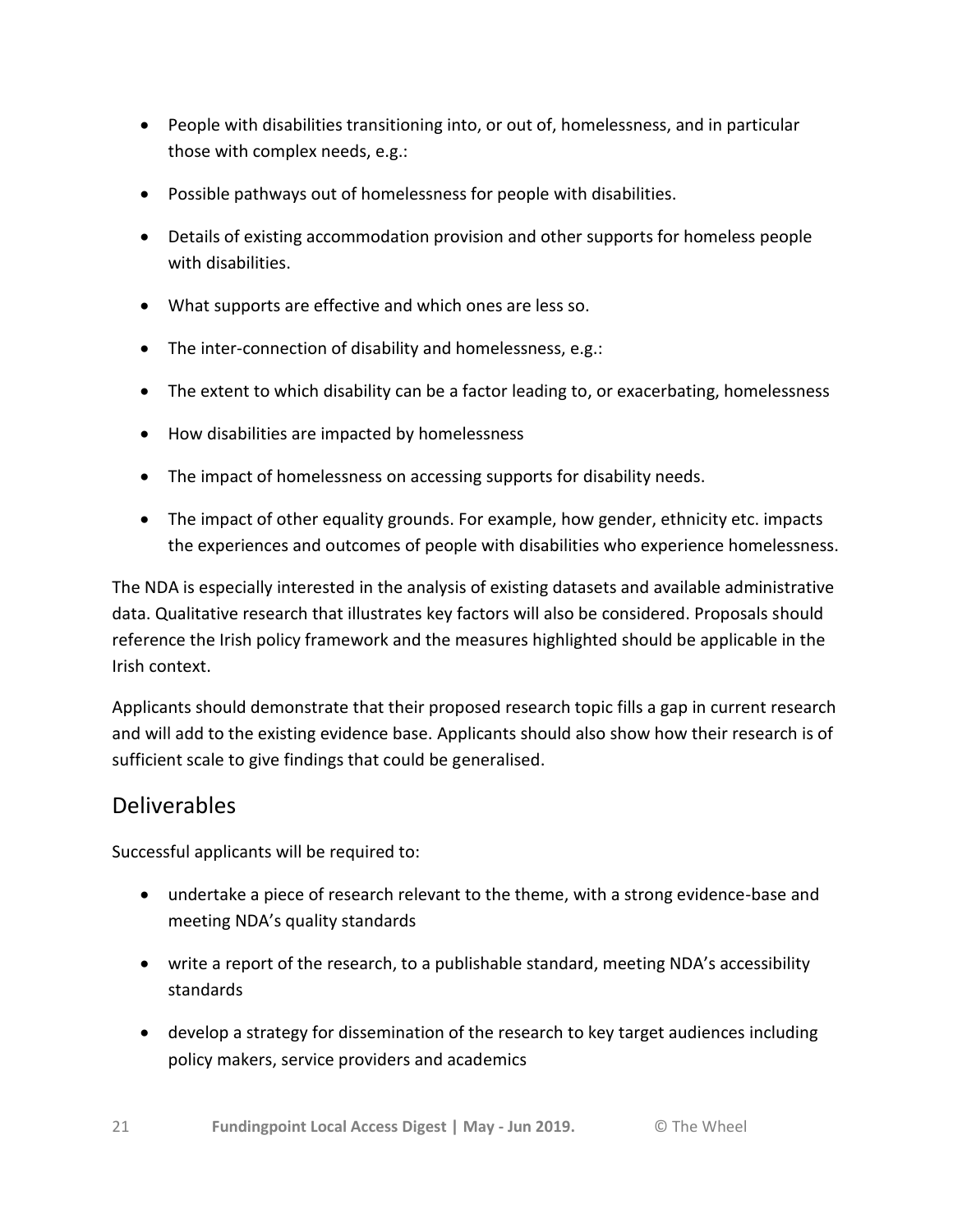- People with disabilities transitioning into, or out of, homelessness, and in particular those with complex needs, e.g.:
- Possible pathways out of homelessness for people with disabilities.
- Details of existing accommodation provision and other supports for homeless people with disabilities.
- What supports are effective and which ones are less so.
- The inter-connection of disability and homelessness, e.g.:
- The extent to which disability can be a factor leading to, or exacerbating, homelessness
- How disabilities are impacted by homelessness
- The impact of homelessness on accessing supports for disability needs.
- The impact of other equality grounds. For example, how gender, ethnicity etc. impacts the experiences and outcomes of people with disabilities who experience homelessness.

The NDA is especially interested in the analysis of existing datasets and available administrative data. Qualitative research that illustrates key factors will also be considered. Proposals should reference the Irish policy framework and the measures highlighted should be applicable in the Irish context.

Applicants should demonstrate that their proposed research topic fills a gap in current research and will add to the existing evidence base. Applicants should also show how their research is of sufficient scale to give findings that could be generalised.

## Deliverables

Successful applicants will be required to:

- undertake a piece of research relevant to the theme, with a strong evidence-base and meeting NDA's quality standards
- write a report of the research, to a publishable standard, meeting NDA's accessibility standards
- develop a strategy for dissemination of the research to key target audiences including policy makers, service providers and academics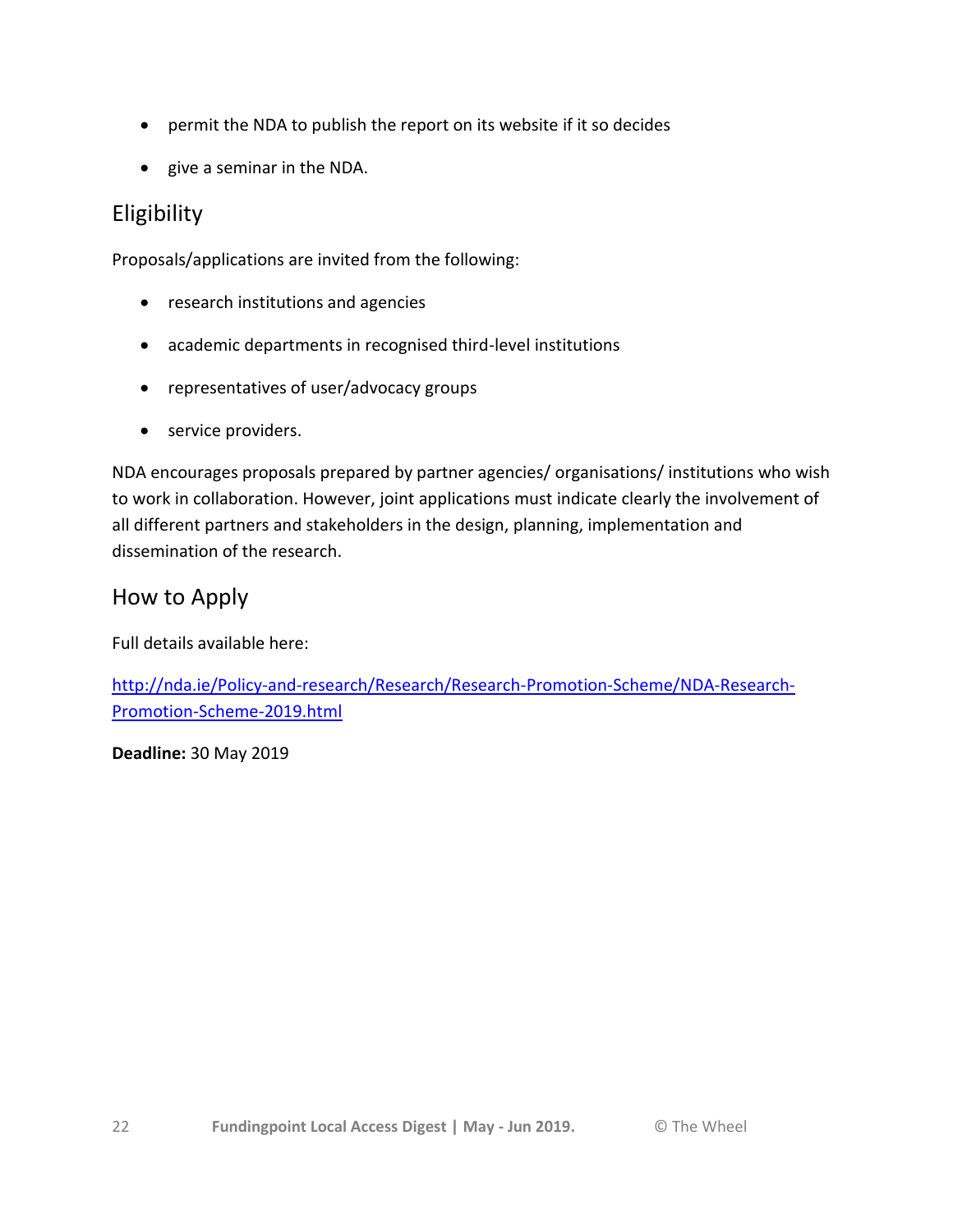- permit the NDA to publish the report on its website if it so decides
- give a seminar in the NDA.

## Eligibility

Proposals/applications are invited from the following:

- research institutions and agencies
- academic departments in recognised third-level institutions
- representatives of user/advocacy groups
- service providers.

NDA encourages proposals prepared by partner agencies/ organisations/ institutions who wish to work in collaboration. However, joint applications must indicate clearly the involvement of all different partners and stakeholders in the design, planning, implementation and dissemination of the research.

## How to Apply

Full details available here:

[http://nda.ie/Policy-and-research/Research/Research-Promotion-Scheme/NDA-Research-](http://nda.ie/Policy-and-research/Research/Research-Promotion-Scheme/NDA-Research-Promotion-Scheme-2019.html)[Promotion-Scheme-2019.html](http://nda.ie/Policy-and-research/Research/Research-Promotion-Scheme/NDA-Research-Promotion-Scheme-2019.html)

**Deadline:** 30 May 2019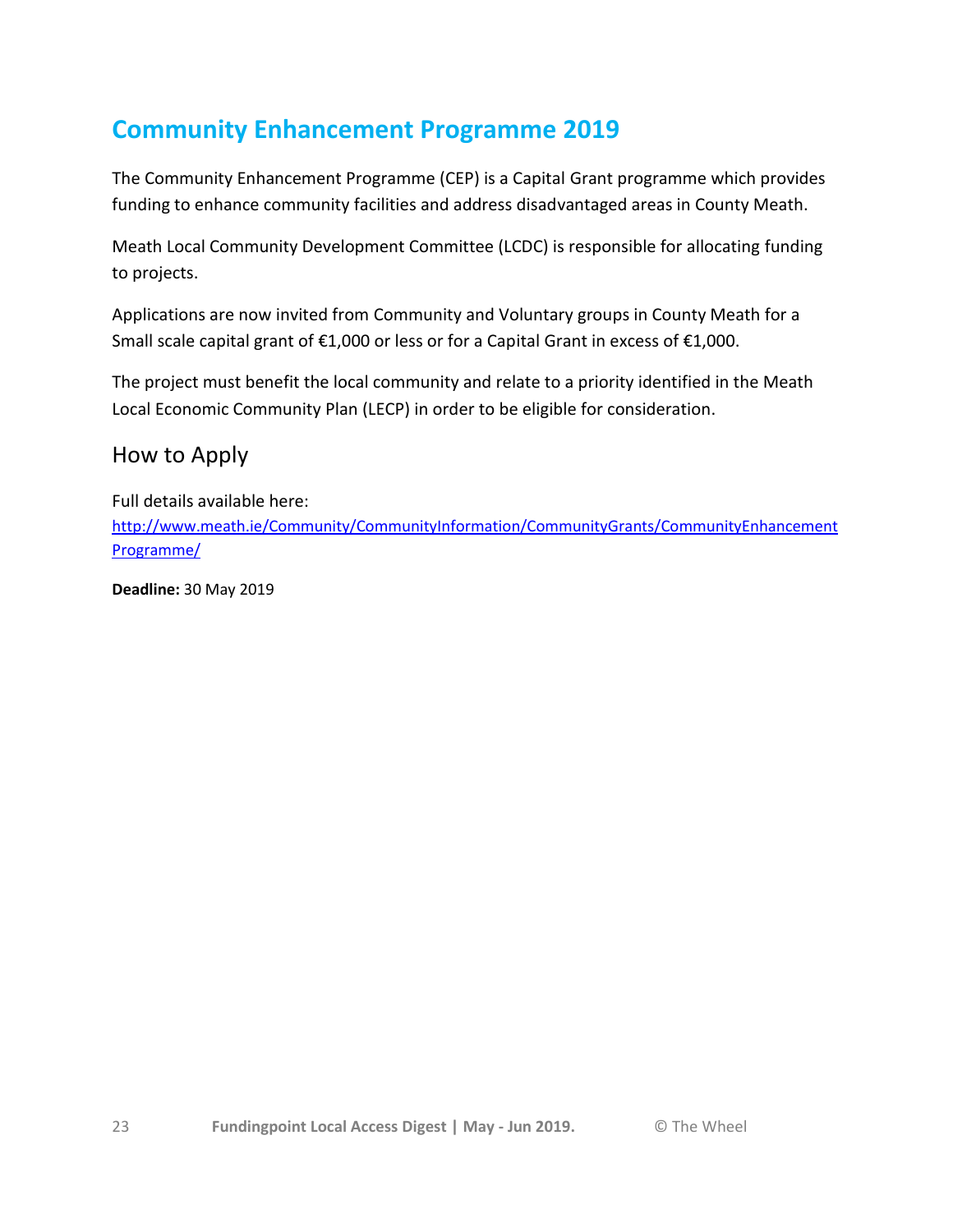# **Community Enhancement Programme 2019**

The Community Enhancement Programme (CEP) is a Capital Grant programme which provides funding to enhance community facilities and address disadvantaged areas in County Meath.

Meath Local Community Development Committee (LCDC) is responsible for allocating funding to projects.

Applications are now invited from Community and Voluntary groups in County Meath for a Small scale capital grant of €1,000 or less or for a Capital Grant in excess of €1,000.

The project must benefit the local community and relate to a priority identified in the Meath Local Economic Community Plan (LECP) in order to be eligible for consideration.

## How to Apply

Full details available here: [http://www.meath.ie/Community/CommunityInformation/CommunityGrants/CommunityEnhancement](http://www.meath.ie/Community/CommunityInformation/CommunityGrants/CommunityEnhancementProgramme/) [Programme/](http://www.meath.ie/Community/CommunityInformation/CommunityGrants/CommunityEnhancementProgramme/)

**Deadline:** 30 May 2019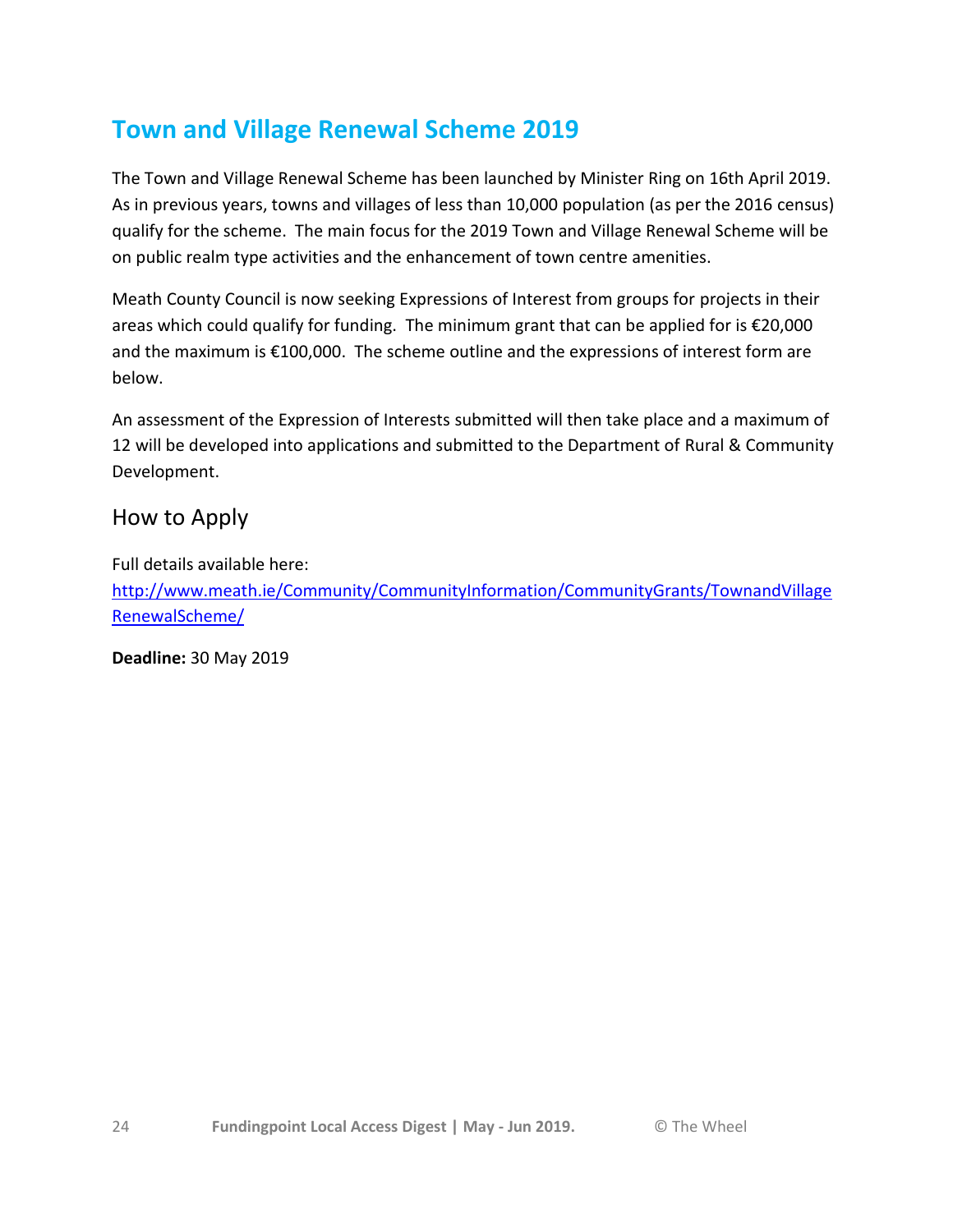# **Town and Village Renewal Scheme 2019**

The Town and Village Renewal Scheme has been launched by Minister Ring on 16th April 2019. As in previous years, towns and villages of less than 10,000 population (as per the 2016 census) qualify for the scheme. The main focus for the 2019 Town and Village Renewal Scheme will be on public realm type activities and the enhancement of town centre amenities.

Meath County Council is now seeking Expressions of Interest from groups for projects in their areas which could qualify for funding. The minimum grant that can be applied for is €20,000 and the maximum is €100,000. The scheme outline and the expressions of interest form are below.

An assessment of the Expression of Interests submitted will then take place and a maximum of 12 will be developed into applications and submitted to the Department of Rural & Community Development.

### How to Apply

Full details available here: [http://www.meath.ie/Community/CommunityInformation/CommunityGrants/TownandVillage](http://www.meath.ie/Community/CommunityInformation/CommunityGrants/TownandVillageRenewalScheme/) [RenewalScheme/](http://www.meath.ie/Community/CommunityInformation/CommunityGrants/TownandVillageRenewalScheme/)

**Deadline:** 30 May 2019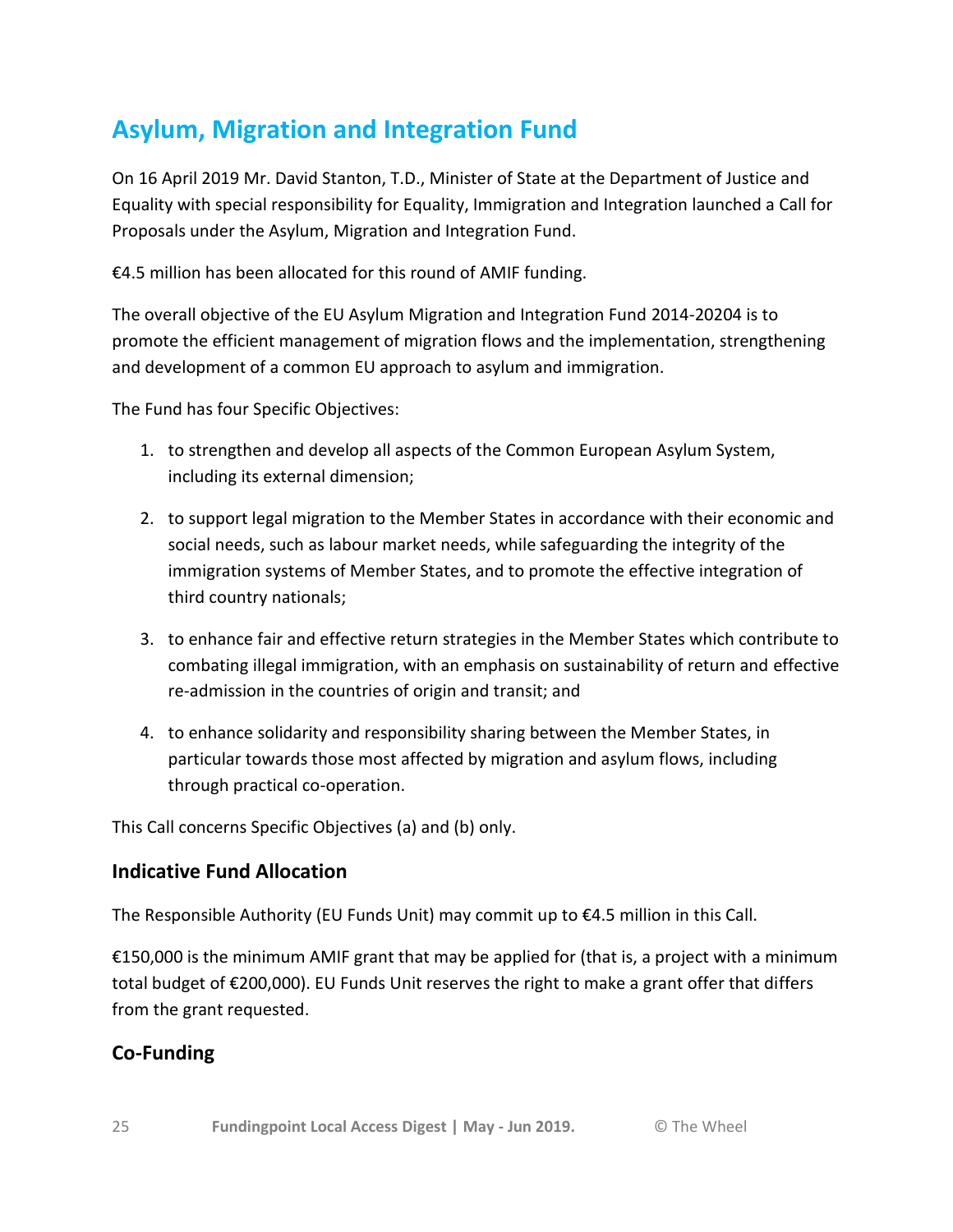# **Asylum, Migration and Integration Fund**

On 16 April 2019 Mr. David Stanton, T.D., Minister of State at the Department of Justice and Equality with special responsibility for Equality, Immigration and Integration launched a Call for Proposals under the Asylum, Migration and Integration Fund.

€4.5 million has been allocated for this round of AMIF funding.

The overall objective of the EU Asylum Migration and Integration Fund 2014-20204 is to promote the efficient management of migration flows and the implementation, strengthening and development of a common EU approach to asylum and immigration.

The Fund has four Specific Objectives:

- 1. to strengthen and develop all aspects of the Common European Asylum System, including its external dimension;
- 2. to support legal migration to the Member States in accordance with their economic and social needs, such as labour market needs, while safeguarding the integrity of the immigration systems of Member States, and to promote the effective integration of third country nationals;
- 3. to enhance fair and effective return strategies in the Member States which contribute to combating illegal immigration, with an emphasis on sustainability of return and effective re-admission in the countries of origin and transit; and
- 4. to enhance solidarity and responsibility sharing between the Member States, in particular towards those most affected by migration and asylum flows, including through practical co-operation.

This Call concerns Specific Objectives (a) and (b) only.

### **Indicative Fund Allocation**

The Responsible Authority (EU Funds Unit) may commit up to €4.5 million in this Call.

€150,000 is the minimum AMIF grant that may be applied for (that is, a project with a minimum total budget of €200,000). EU Funds Unit reserves the right to make a grant offer that differs from the grant requested.

### **Co-Funding**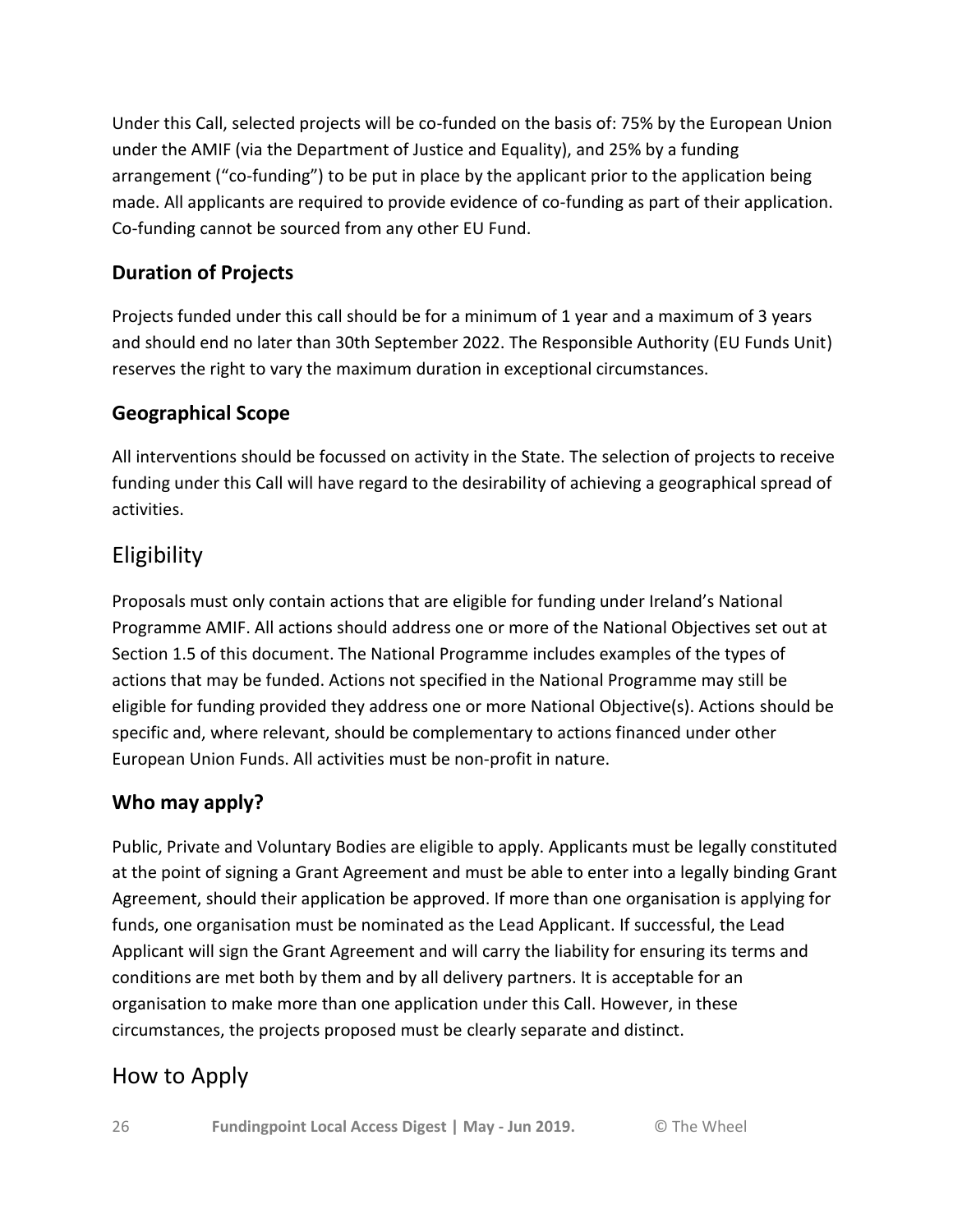Under this Call, selected projects will be co-funded on the basis of: 75% by the European Union under the AMIF (via the Department of Justice and Equality), and 25% by a funding arrangement ("co-funding") to be put in place by the applicant prior to the application being made. All applicants are required to provide evidence of co-funding as part of their application. Co-funding cannot be sourced from any other EU Fund.

## **Duration of Projects**

Projects funded under this call should be for a minimum of 1 year and a maximum of 3 years and should end no later than 30th September 2022. The Responsible Authority (EU Funds Unit) reserves the right to vary the maximum duration in exceptional circumstances.

## **Geographical Scope**

All interventions should be focussed on activity in the State. The selection of projects to receive funding under this Call will have regard to the desirability of achieving a geographical spread of activities.

## **Eligibility**

Proposals must only contain actions that are eligible for funding under Ireland's National Programme AMIF. All actions should address one or more of the National Objectives set out at Section 1.5 of this document. The National Programme includes examples of the types of actions that may be funded. Actions not specified in the National Programme may still be eligible for funding provided they address one or more National Objective(s). Actions should be specific and, where relevant, should be complementary to actions financed under other European Union Funds. All activities must be non-profit in nature.

## **Who may apply?**

Public, Private and Voluntary Bodies are eligible to apply. Applicants must be legally constituted at the point of signing a Grant Agreement and must be able to enter into a legally binding Grant Agreement, should their application be approved. If more than one organisation is applying for funds, one organisation must be nominated as the Lead Applicant. If successful, the Lead Applicant will sign the Grant Agreement and will carry the liability for ensuring its terms and conditions are met both by them and by all delivery partners. It is acceptable for an organisation to make more than one application under this Call. However, in these circumstances, the projects proposed must be clearly separate and distinct.

## How to Apply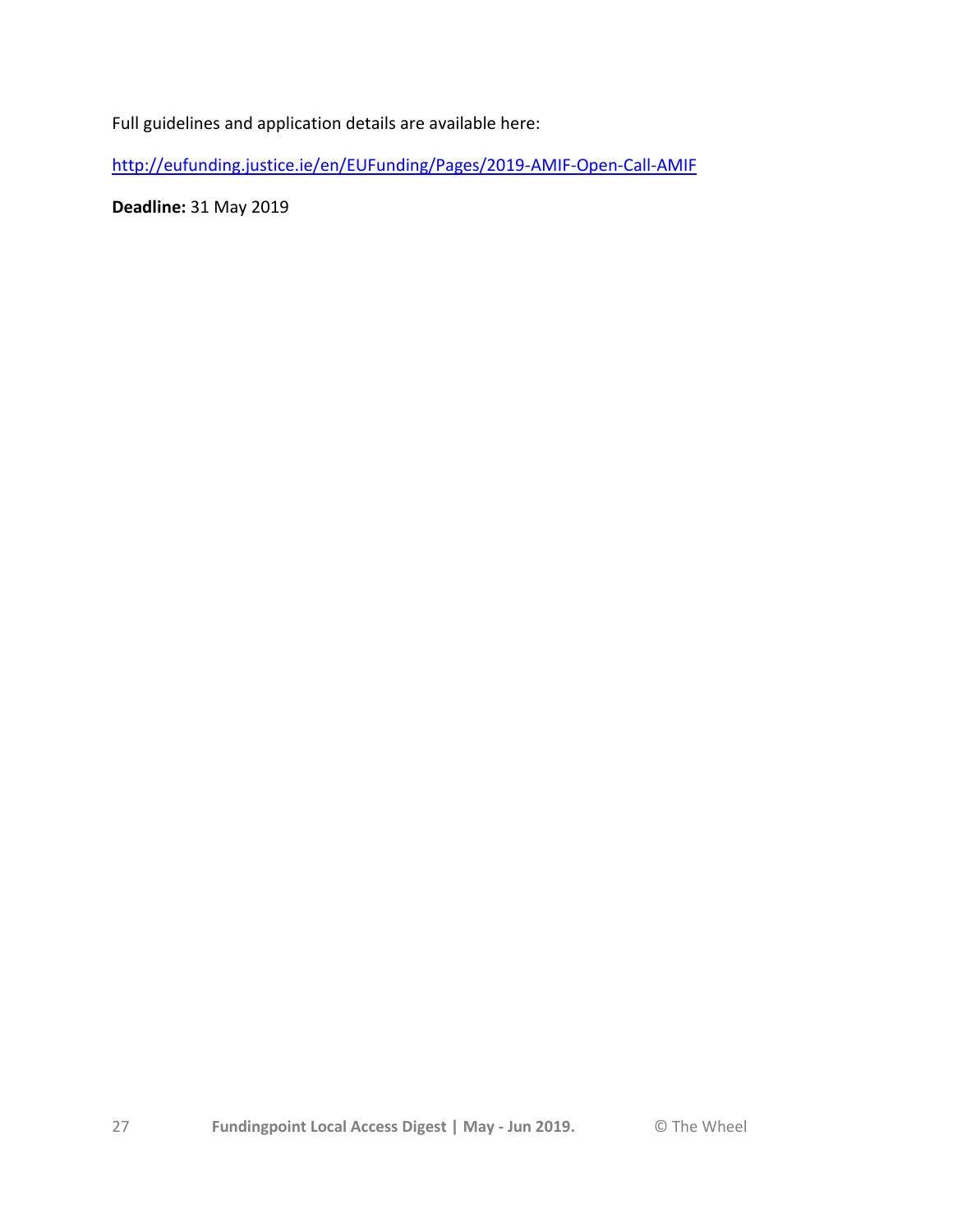Full guidelines and application details are available here:

<http://eufunding.justice.ie/en/EUFunding/Pages/2019-AMIF-Open-Call-AMIF>

**Deadline:** 31 May 2019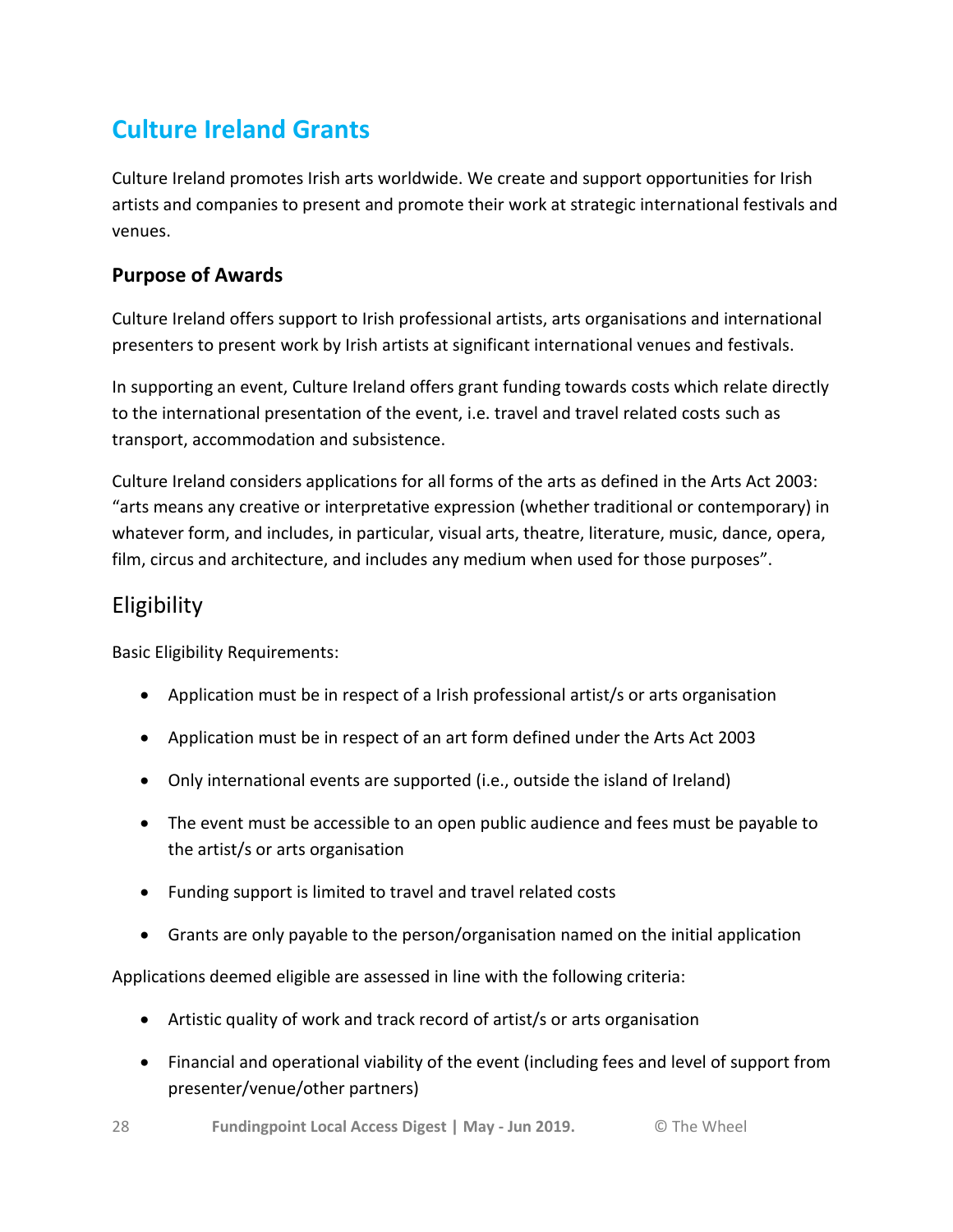# **Culture Ireland Grants**

Culture Ireland promotes Irish arts worldwide. We create and support opportunities for Irish artists and companies to present and promote their work at strategic international festivals and venues.

### **Purpose of Awards**

Culture Ireland offers support to Irish professional artists, arts organisations and international presenters to present work by Irish artists at significant international venues and festivals.

In supporting an event, Culture Ireland offers grant funding towards costs which relate directly to the international presentation of the event, i.e. travel and travel related costs such as transport, accommodation and subsistence.

Culture Ireland considers applications for all forms of the arts as defined in the Arts Act 2003: "arts means any creative or interpretative expression (whether traditional or contemporary) in whatever form, and includes, in particular, visual arts, theatre, literature, music, dance, opera, film, circus and architecture, and includes any medium when used for those purposes".

## Eligibility

Basic Eligibility Requirements:

- Application must be in respect of a Irish professional artist/s or arts organisation
- Application must be in respect of an art form defined under the Arts Act 2003
- Only international events are supported (i.e., outside the island of Ireland)
- The event must be accessible to an open public audience and fees must be payable to the artist/s or arts organisation
- Funding support is limited to travel and travel related costs
- Grants are only payable to the person/organisation named on the initial application

Applications deemed eligible are assessed in line with the following criteria:

- Artistic quality of work and track record of artist/s or arts organisation
- Financial and operational viability of the event (including fees and level of support from presenter/venue/other partners)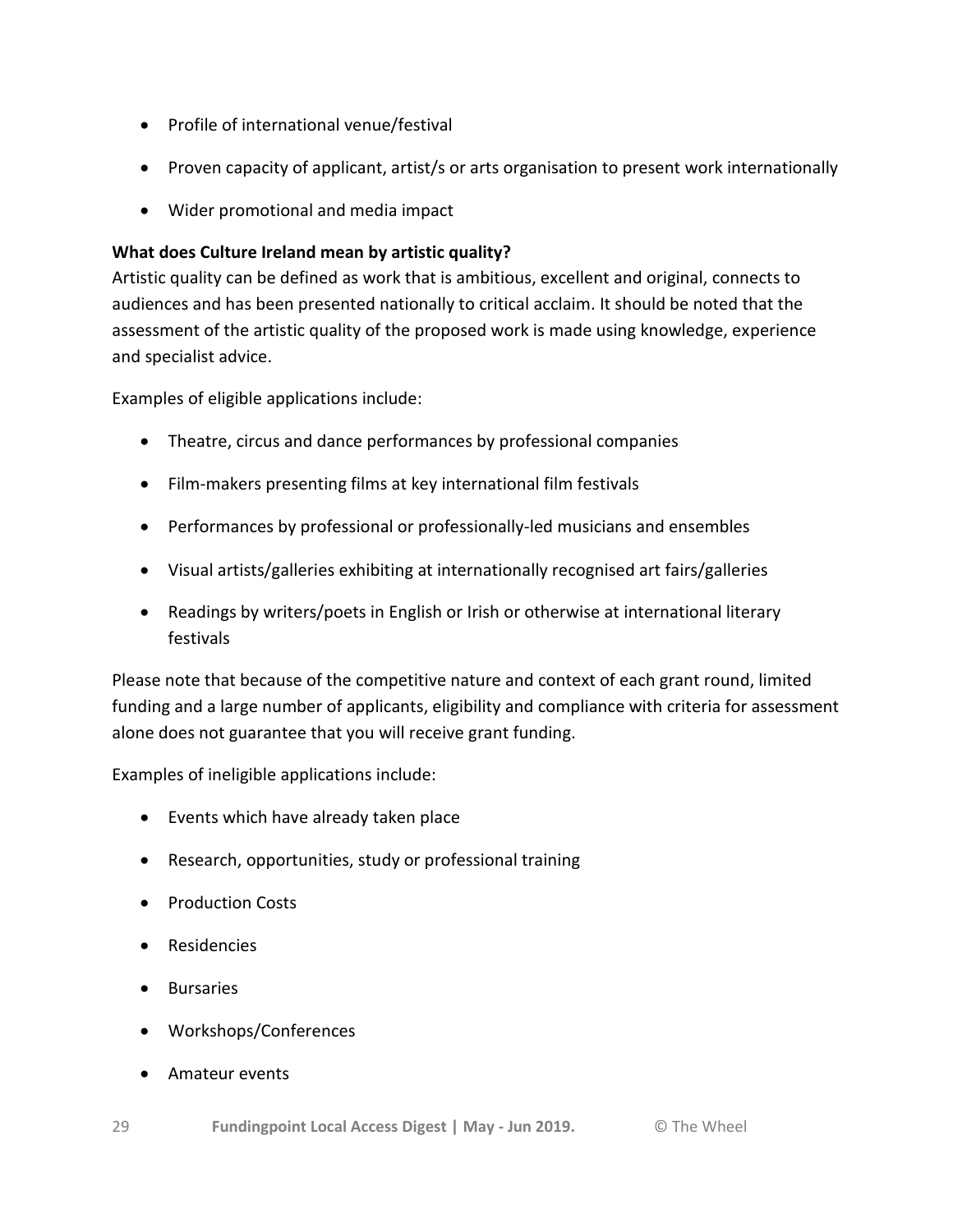- Profile of international venue/festival
- Proven capacity of applicant, artist/s or arts organisation to present work internationally
- Wider promotional and media impact

#### **What does Culture Ireland mean by artistic quality?**

Artistic quality can be defined as work that is ambitious, excellent and original, connects to audiences and has been presented nationally to critical acclaim. It should be noted that the assessment of the artistic quality of the proposed work is made using knowledge, experience and specialist advice.

Examples of eligible applications include:

- Theatre, circus and dance performances by professional companies
- Film-makers presenting films at key international film festivals
- Performances by professional or professionally-led musicians and ensembles
- Visual artists/galleries exhibiting at internationally recognised art fairs/galleries
- Readings by writers/poets in English or Irish or otherwise at international literary festivals

Please note that because of the competitive nature and context of each grant round, limited funding and a large number of applicants, eligibility and compliance with criteria for assessment alone does not guarantee that you will receive grant funding.

Examples of ineligible applications include:

- Events which have already taken place
- Research, opportunities, study or professional training
- Production Costs
- Residencies
- **•** Bursaries
- Workshops/Conferences
- Amateur events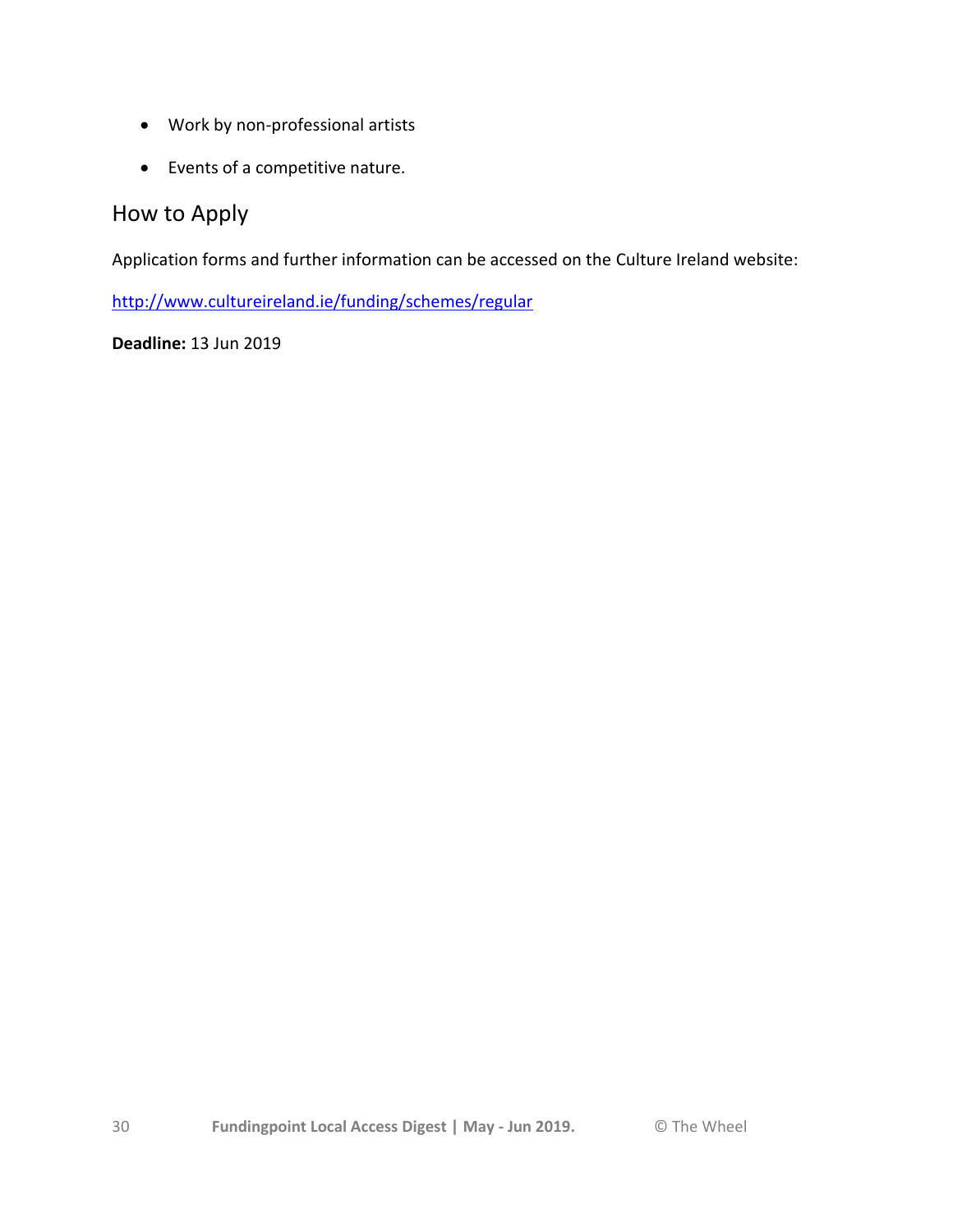- Work by non-professional artists
- Events of a competitive nature.

## How to Apply

Application forms and further information can be accessed on the Culture Ireland website:

<http://www.cultureireland.ie/funding/schemes/regular>

**Deadline:** 13 Jun 2019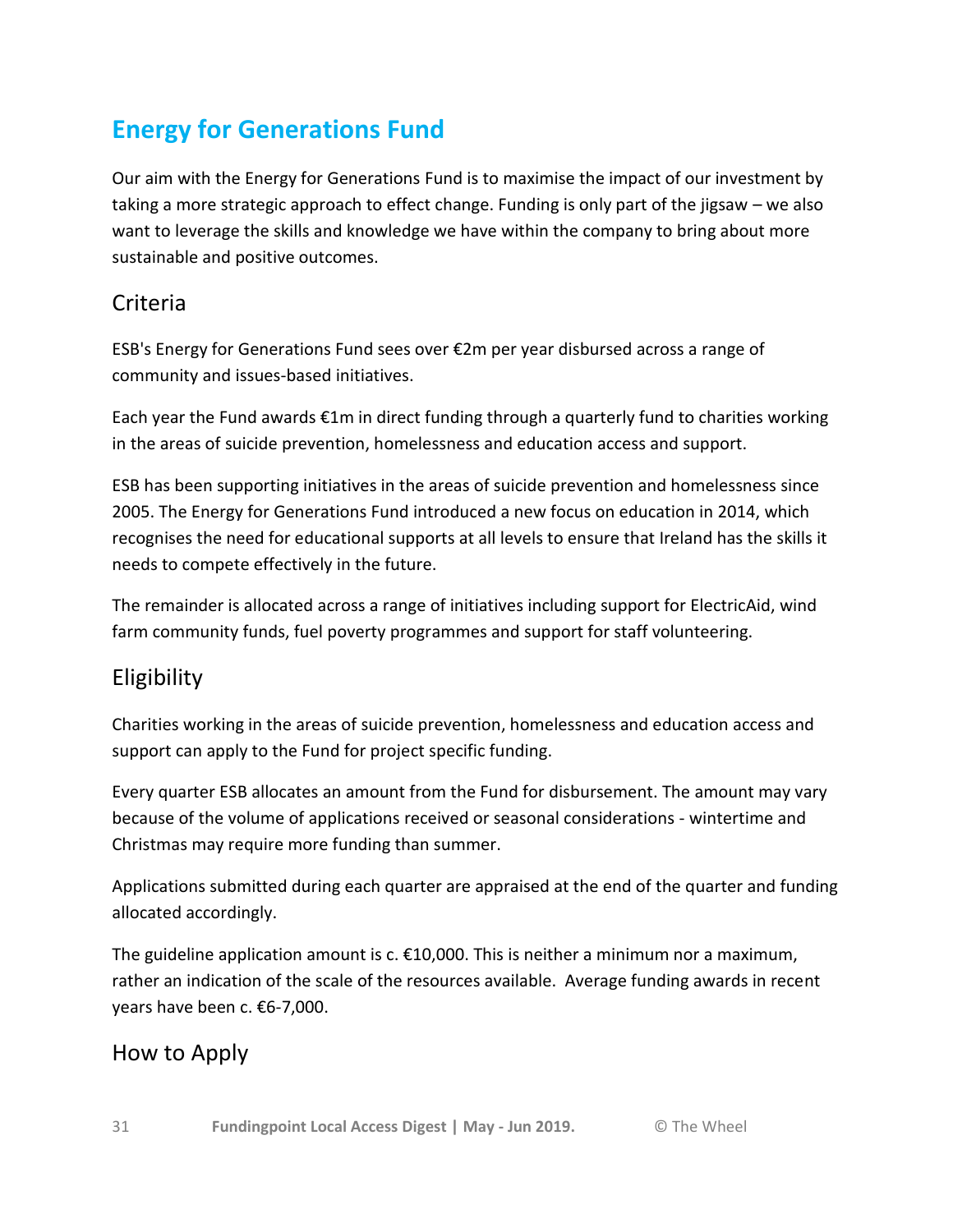# **Energy for Generations Fund**

Our aim with the Energy for Generations Fund is to maximise the impact of our investment by taking a more strategic approach to effect change. Funding is only part of the jigsaw – we also want to leverage the skills and knowledge we have within the company to bring about more sustainable and positive outcomes.

## Criteria

ESB's Energy for Generations Fund sees over €2m per year disbursed across a range of community and issues-based initiatives.

Each year the Fund awards €1m in direct funding through a quarterly fund to charities working in the areas of suicide prevention, homelessness and education access and support.

ESB has been supporting initiatives in the areas of suicide prevention and homelessness since 2005. The Energy for Generations Fund introduced a new focus on education in 2014, which recognises the need for educational supports at all levels to ensure that Ireland has the skills it needs to compete effectively in the future.

The remainder is allocated across a range of initiatives including support for ElectricAid, wind farm community funds, fuel poverty programmes and support for staff volunteering.

# Eligibility

Charities working in the areas of suicide prevention, homelessness and education access and support can apply to the Fund for project specific funding.

Every quarter ESB allocates an amount from the Fund for disbursement. The amount may vary because of the volume of applications received or seasonal considerations - wintertime and Christmas may require more funding than summer.

Applications submitted during each quarter are appraised at the end of the quarter and funding allocated accordingly.

The guideline application amount is  $c \cdot \text{\textsterling}10,000$ . This is neither a minimum nor a maximum, rather an indication of the scale of the resources available. Average funding awards in recent years have been c. €6-7,000.

## How to Apply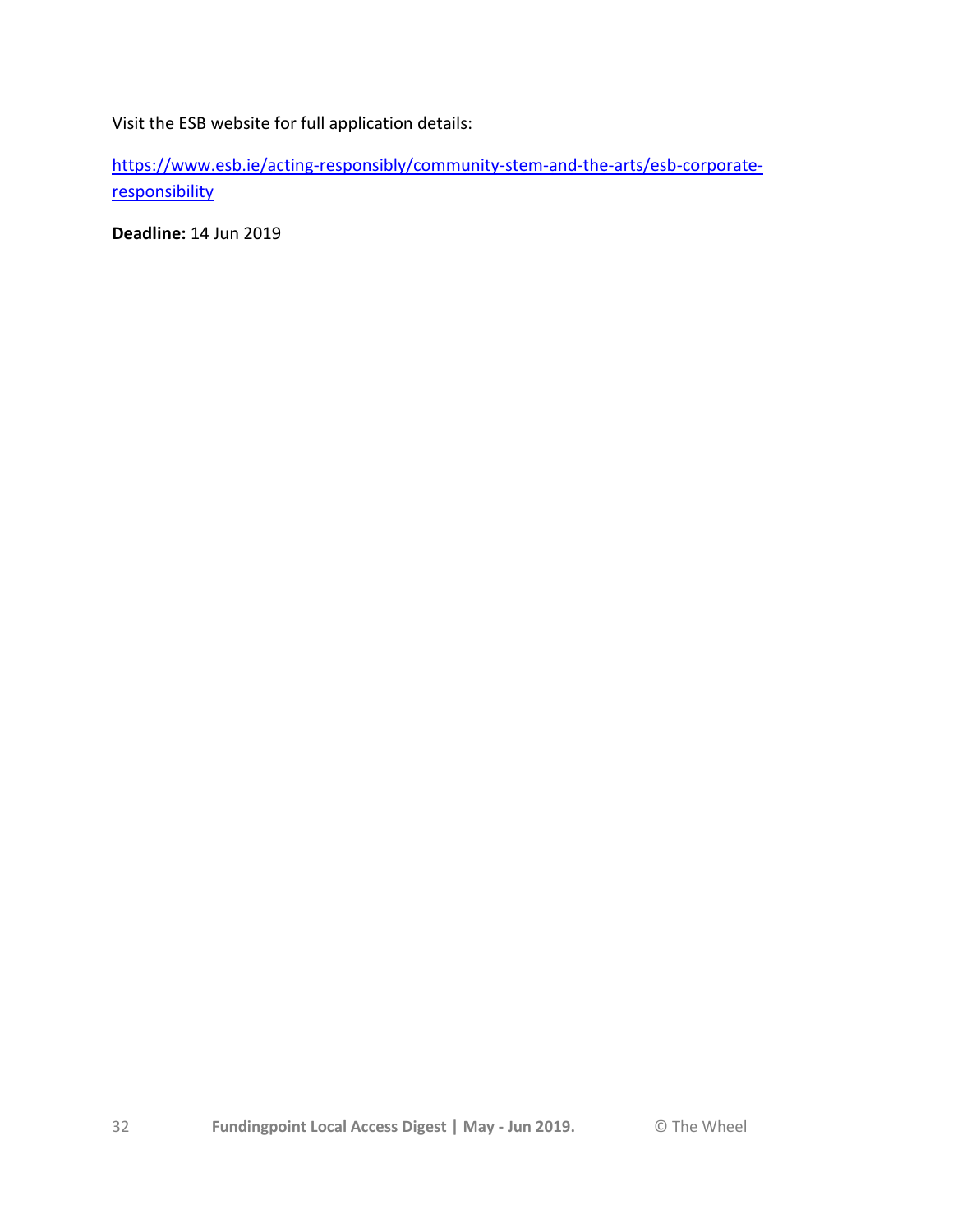Visit the ESB website for full application details:

[https://www.esb.ie/acting-responsibly/community-stem-and-the-arts/esb-corporate](https://www.esb.ie/acting-responsibly/community-stem-and-the-arts/esb-corporate-responsibility)[responsibility](https://www.esb.ie/acting-responsibly/community-stem-and-the-arts/esb-corporate-responsibility)

**Deadline:** 14 Jun 2019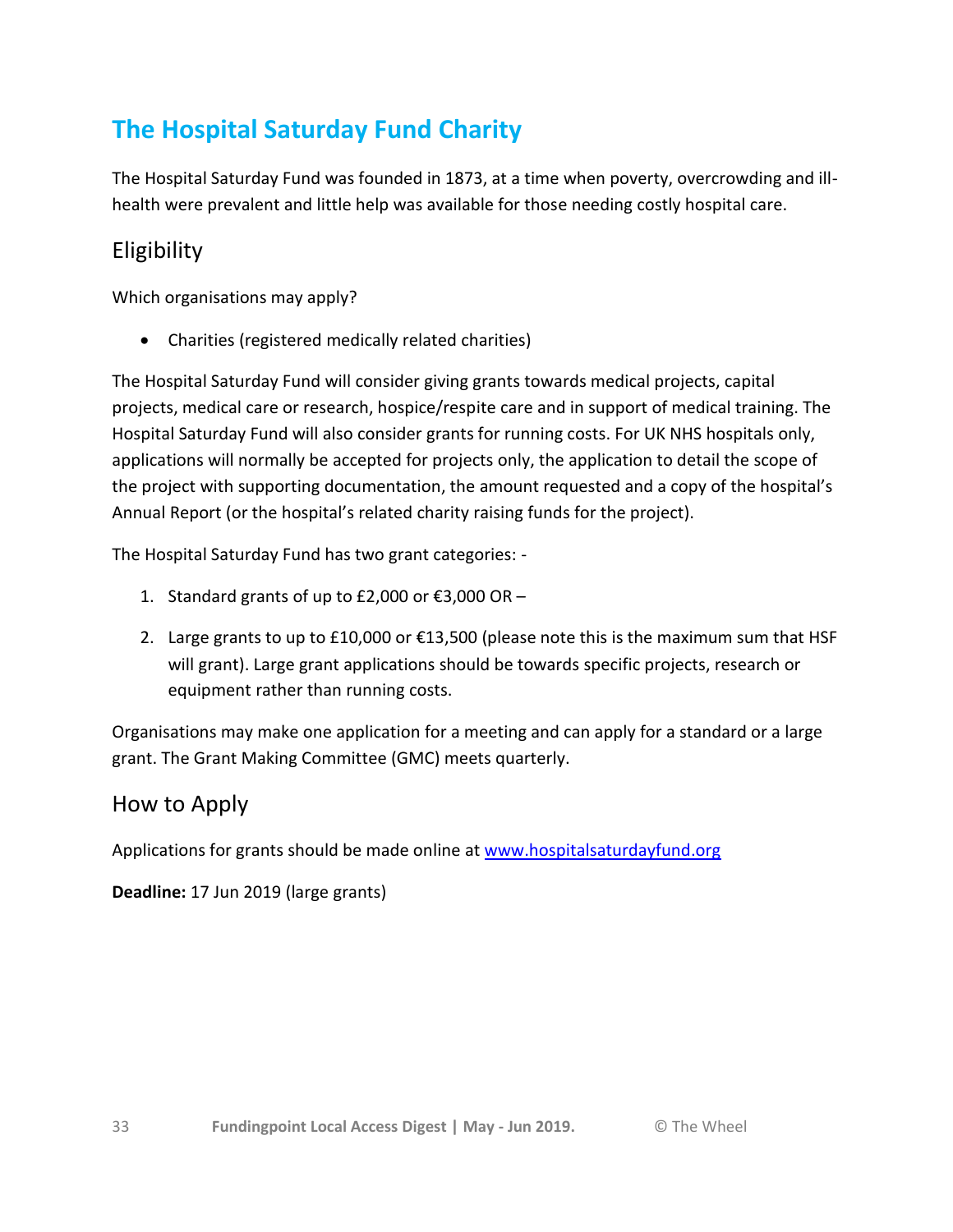# **The Hospital Saturday Fund Charity**

The Hospital Saturday Fund was founded in 1873, at a time when poverty, overcrowding and illhealth were prevalent and little help was available for those needing costly hospital care.

# Eligibility

Which organisations may apply?

Charities (registered medically related charities)

The Hospital Saturday Fund will consider giving grants towards medical projects, capital projects, medical care or research, hospice/respite care and in support of medical training. The Hospital Saturday Fund will also consider grants for running costs. For UK NHS hospitals only, applications will normally be accepted for projects only, the application to detail the scope of the project with supporting documentation, the amount requested and a copy of the hospital's Annual Report (or the hospital's related charity raising funds for the project).

The Hospital Saturday Fund has two grant categories: -

- 1. Standard grants of up to £2,000 or €3,000 OR –
- 2. Large grants to up to £10,000 or  $£13,500$  (please note this is the maximum sum that HSF will grant). Large grant applications should be towards specific projects, research or equipment rather than running costs.

Organisations may make one application for a meeting and can apply for a standard or a large grant. The Grant Making Committee (GMC) meets quarterly.

### How to Apply

Applications for grants should be made online at [www.hospitalsaturdayfund.org](http://www.hospitalsaturdayfund.org/)

**Deadline:** 17 Jun 2019 (large grants)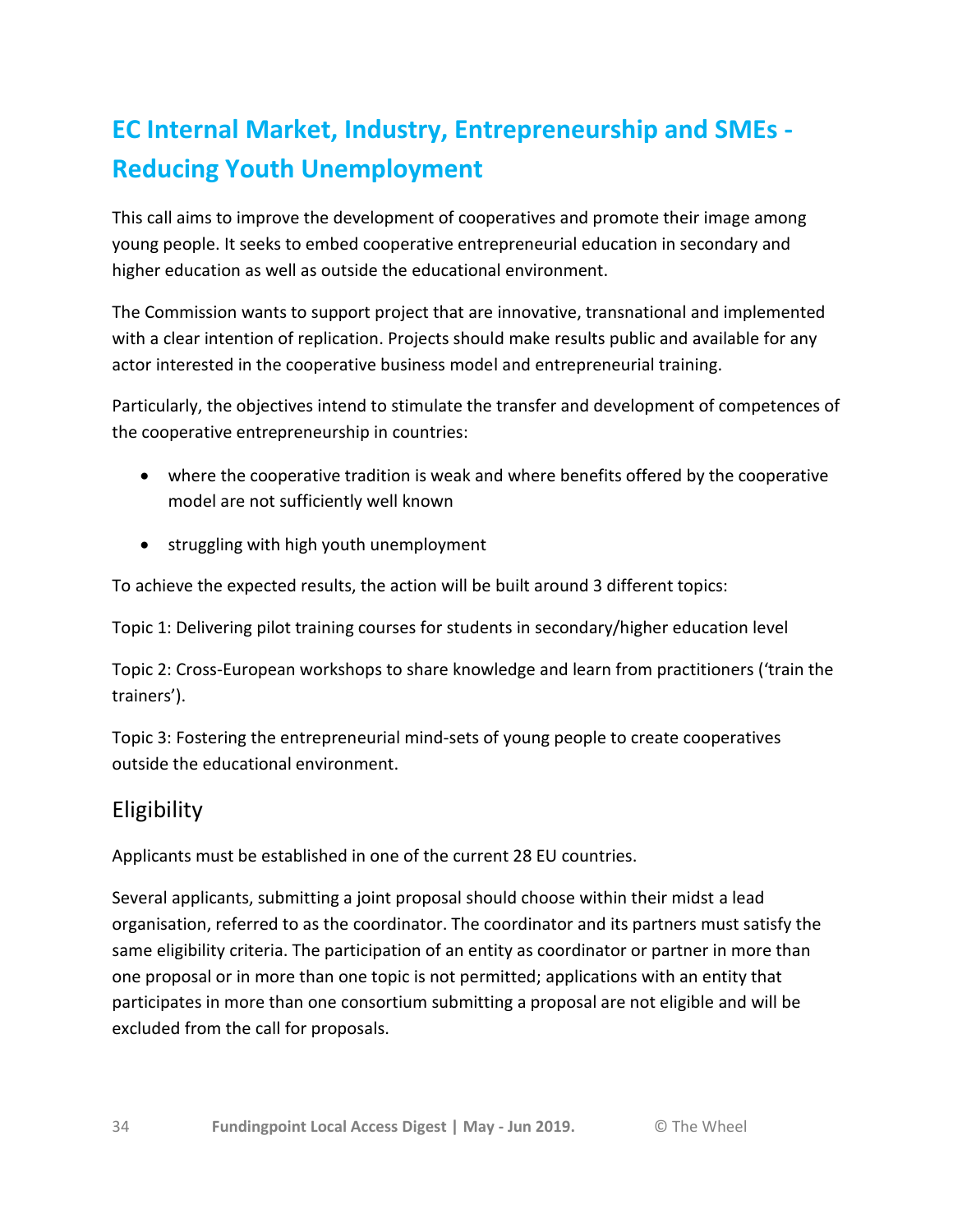# **EC Internal Market, Industry, Entrepreneurship and SMEs - Reducing Youth Unemployment**

This call aims to improve the development of cooperatives and promote their image among young people. It seeks to embed cooperative entrepreneurial education in secondary and higher education as well as outside the educational environment.

The Commission wants to support project that are innovative, transnational and implemented with a clear intention of replication. Projects should make results public and available for any actor interested in the cooperative business model and entrepreneurial training.

Particularly, the objectives intend to stimulate the transfer and development of competences of the cooperative entrepreneurship in countries:

- where the cooperative tradition is weak and where benefits offered by the cooperative model are not sufficiently well known
- struggling with high youth unemployment

To achieve the expected results, the action will be built around 3 different topics:

Topic 1: Delivering pilot training courses for students in secondary/higher education level

Topic 2: Cross-European workshops to share knowledge and learn from practitioners ('train the trainers').

Topic 3: Fostering the entrepreneurial mind-sets of young people to create cooperatives outside the educational environment.

## Eligibility

Applicants must be established in one of the current 28 EU countries.

Several applicants, submitting a joint proposal should choose within their midst a lead organisation, referred to as the coordinator. The coordinator and its partners must satisfy the same eligibility criteria. The participation of an entity as coordinator or partner in more than one proposal or in more than one topic is not permitted; applications with an entity that participates in more than one consortium submitting a proposal are not eligible and will be excluded from the call for proposals.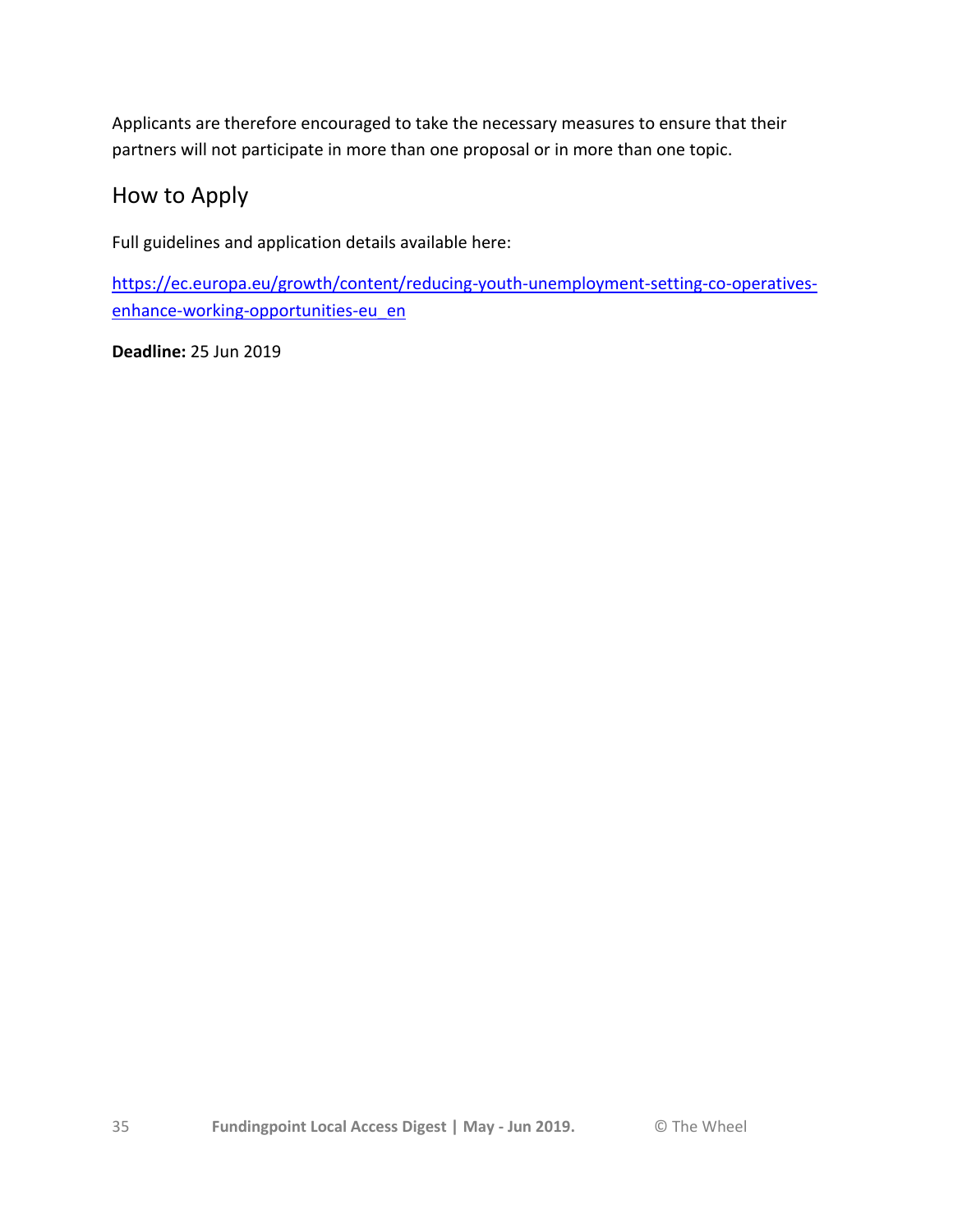Applicants are therefore encouraged to take the necessary measures to ensure that their partners will not participate in more than one proposal or in more than one topic.

## How to Apply

Full guidelines and application details available here:

[https://ec.europa.eu/growth/content/reducing-youth-unemployment-setting-co-operatives](https://ec.europa.eu/growth/content/reducing-youth-unemployment-setting-co-operatives-enhance-working-opportunities-eu_en)[enhance-working-opportunities-eu\\_en](https://ec.europa.eu/growth/content/reducing-youth-unemployment-setting-co-operatives-enhance-working-opportunities-eu_en)

**Deadline:** 25 Jun 2019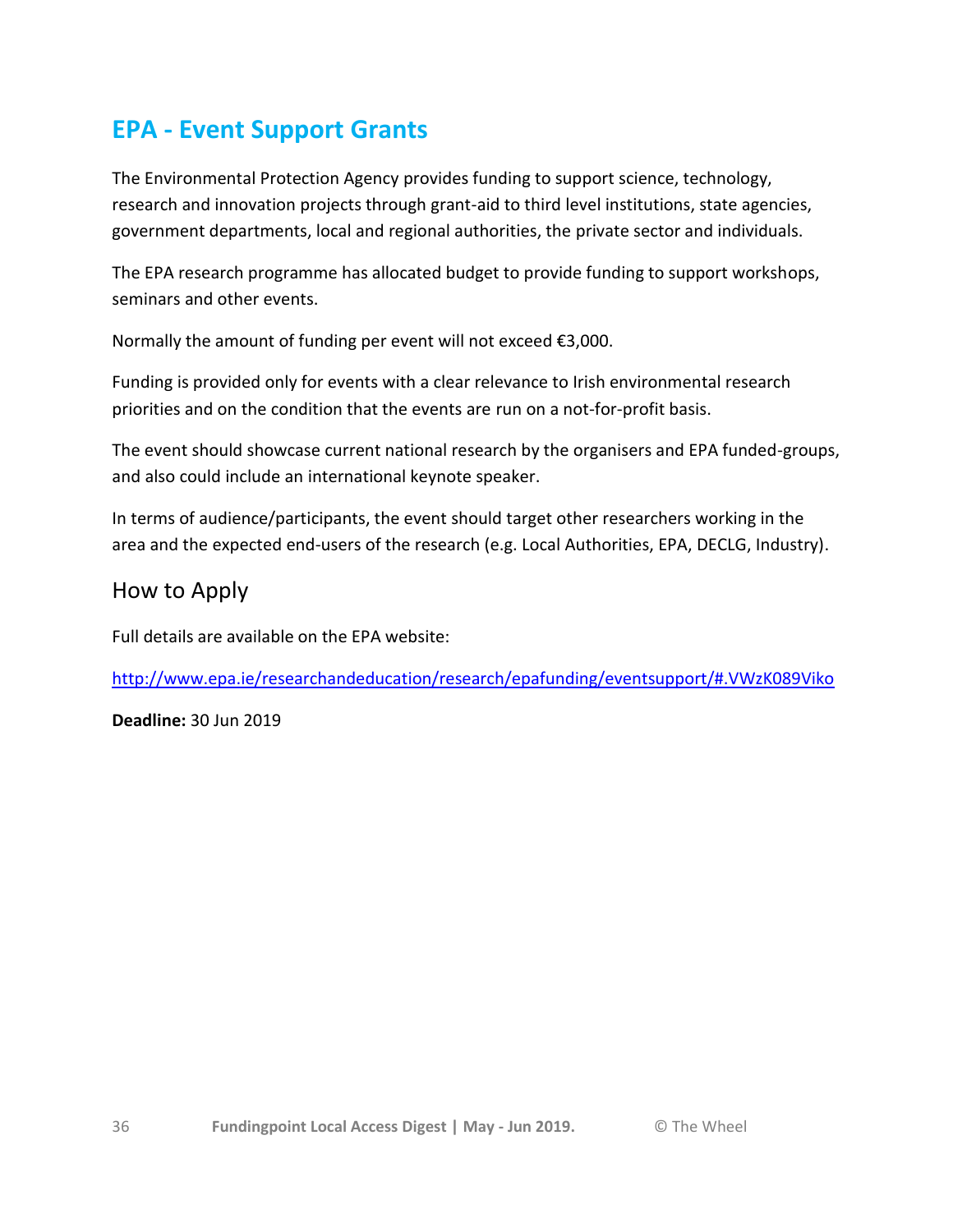# **EPA - Event Support Grants**

The Environmental Protection Agency provides funding to support science, technology, research and innovation projects through grant-aid to third level institutions, state agencies, government departments, local and regional authorities, the private sector and individuals.

The EPA research programme has allocated budget to provide funding to support workshops, seminars and other events.

Normally the amount of funding per event will not exceed €3,000.

Funding is provided only for events with a clear relevance to Irish environmental research priorities and on the condition that the events are run on a not-for-profit basis.

The event should showcase current national research by the organisers and EPA funded-groups, and also could include an international keynote speaker.

In terms of audience/participants, the event should target other researchers working in the area and the expected end-users of the research (e.g. Local Authorities, EPA, DECLG, Industry).

## How to Apply

Full details are available on the EPA website:

<http://www.epa.ie/researchandeducation/research/epafunding/eventsupport/#.VWzK089Viko>

**Deadline:** 30 Jun 2019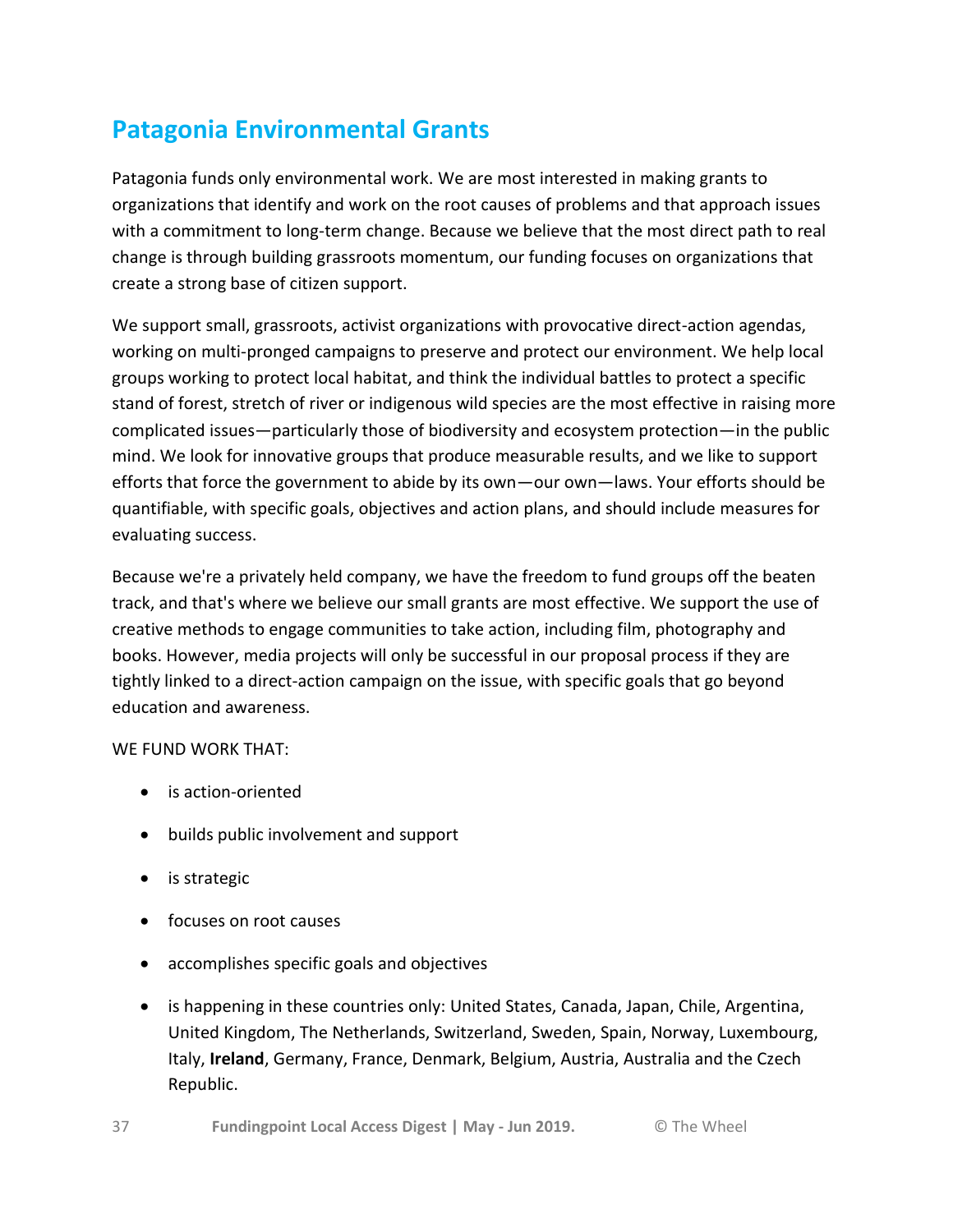# **Patagonia Environmental Grants**

Patagonia funds only environmental work. We are most interested in making grants to organizations that identify and work on the root causes of problems and that approach issues with a commitment to long-term change. Because we believe that the most direct path to real change is through building grassroots momentum, our funding focuses on organizations that create a strong base of citizen support.

We support small, grassroots, activist organizations with provocative direct-action agendas, working on multi-pronged campaigns to preserve and protect our environment. We help local groups working to protect local habitat, and think the individual battles to protect a specific stand of forest, stretch of river or indigenous wild species are the most effective in raising more complicated issues—particularly those of biodiversity and ecosystem protection—in the public mind. We look for innovative groups that produce measurable results, and we like to support efforts that force the government to abide by its own—our own—laws. Your efforts should be quantifiable, with specific goals, objectives and action plans, and should include measures for evaluating success.

Because we're a privately held company, we have the freedom to fund groups off the beaten track, and that's where we believe our small grants are most effective. We support the use of creative methods to engage communities to take action, including film, photography and books. However, media projects will only be successful in our proposal process if they are tightly linked to a direct-action campaign on the issue, with specific goals that go beyond education and awareness.

#### WE FUND WORK THAT:

- is action-oriented
- builds public involvement and support
- is strategic
- focuses on root causes
- accomplishes specific goals and objectives
- is happening in these countries only: United States, Canada, Japan, Chile, Argentina, United Kingdom, The Netherlands, Switzerland, Sweden, Spain, Norway, Luxembourg, Italy, **Ireland**, Germany, France, Denmark, Belgium, Austria, Australia and the Czech Republic.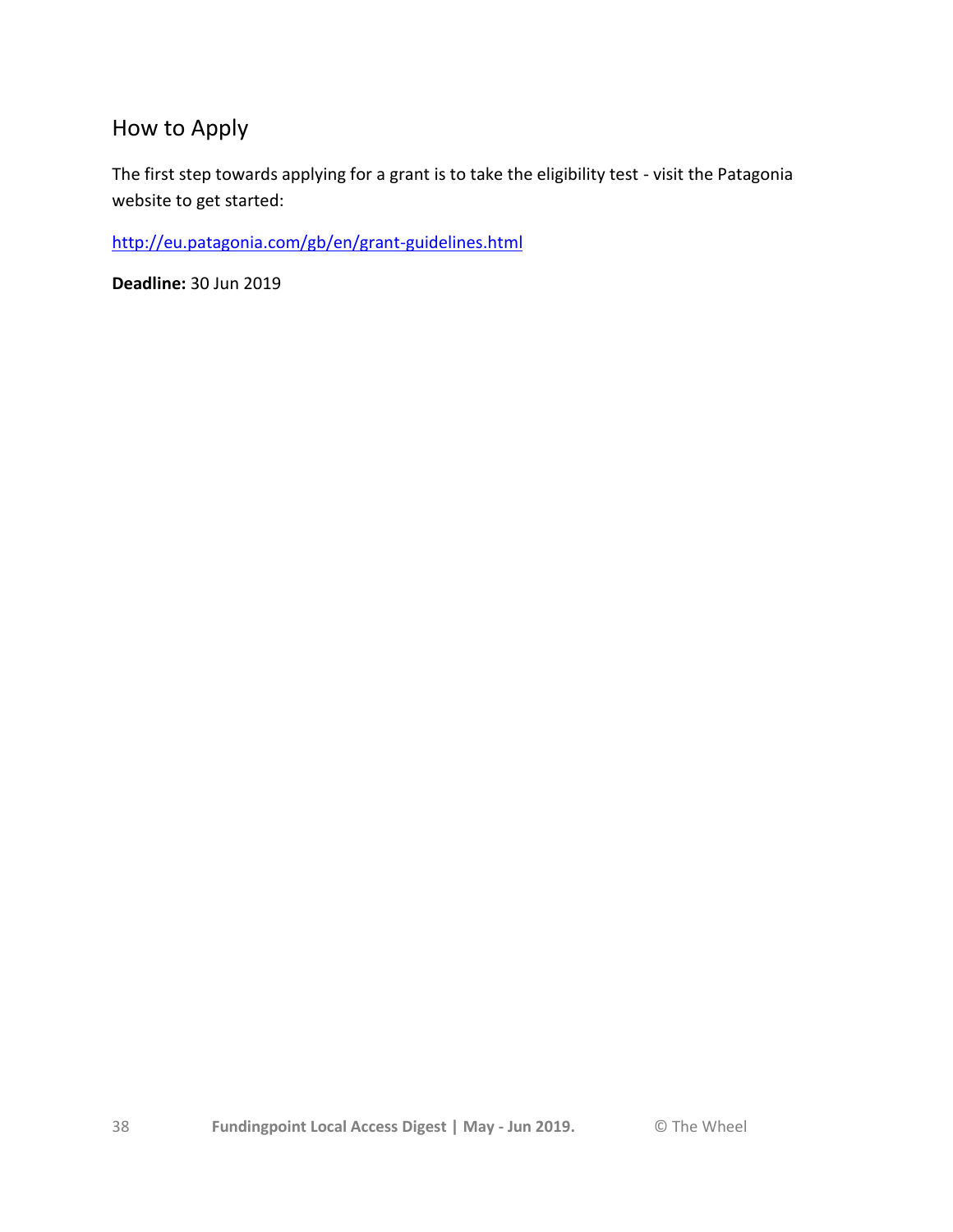# How to Apply

The first step towards applying for a grant is to take the eligibility test - visit the Patagonia website to get started:

<http://eu.patagonia.com/gb/en/grant-guidelines.html>

**Deadline:** 30 Jun 2019